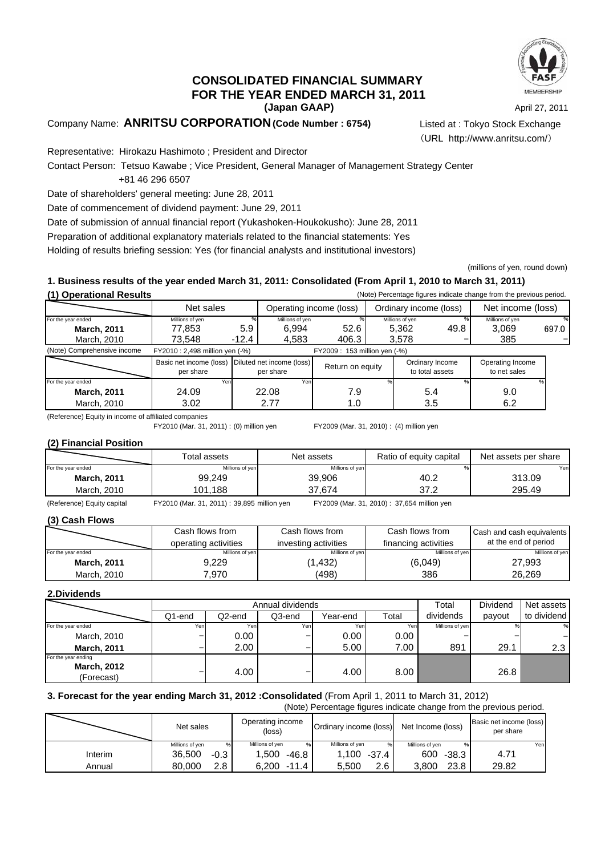

### **(Japan GAAP) CONSOLIDATED FINANCIAL SUMMARY FOR THE YEAR ENDED MARCH 31, 2011**

April 27, 2011

### Company Name: **ANRITSU CORPORATION(Code Number : 6754)** Listed at : Tokyo Stock Exchange

(URL http://www.anritsu.com/)

Representative: Hirokazu Hashimoto ; President and Director

Contact Person: Tetsuo Kawabe ; Vice President, General Manager of Management Strategy Center +81 46 296 6507

Date of shareholders' general meeting: June 28, 2011

Date of commencement of dividend payment: June 29, 2011

Date of submission of annual financial report (Yukashoken-Houkokusho): June 28, 2011

Preparation of additional explanatory materials related to the financial statements: Yes

Holding of results briefing session: Yes (for financial analysts and institutional investors)

(millions of yen, round down)

### **1. Business results of the year ended March 31, 2011: Consolidated (From April 1, 2010 to March 31, 2011)**

**(1) Operational Results** (Note) Percentage figures indicate change from the previous period.

| $(1)$ Oporational Robard    |                                      |                              |                                        |                  |  |                                    |      |                                  |       |
|-----------------------------|--------------------------------------|------------------------------|----------------------------------------|------------------|--|------------------------------------|------|----------------------------------|-------|
|                             | Net sales                            |                              | Operating income (loss)                |                  |  | Ordinary income (loss)             |      | Net income (loss)                |       |
| For the year ended          | Millions of yen                      |                              | Millions of yen                        |                  |  | Millions of yen                    |      | Millions of yen                  |       |
| <b>March, 2011</b>          | 77.853                               | 5.9                          | 6.994                                  | 52.6             |  | 5,362                              | 49.8 | 3,069                            | 697.0 |
| March, 2010                 | 73.548                               | $-12.4$                      | 4,583                                  | 406.3            |  | 3,578                              |      | 385                              |       |
| (Note) Comprehensive income | FY2010 : 2,498 million yen (-%)      | FY2009: 153 million yen (-%) |                                        |                  |  |                                    |      |                                  |       |
|                             | Basic net income (loss)<br>per share |                              | Diluted net income (loss)<br>per share | Return on equity |  | Ordinary Income<br>to total assets |      | Operating Income<br>to net sales |       |
| For the year ended          | Yen                                  |                              | Yen                                    |                  |  |                                    |      |                                  |       |
| <b>March, 2011</b>          | 24.09                                |                              | 22.08                                  | 7.9              |  | 5.4                                |      | 9.0                              |       |
| March, 2010                 | 3.02                                 |                              | 2.77                                   | 1.0              |  | 3.5                                |      | 6.2                              |       |

(Reference) Equity in income of affiliated companies FY2010 (Mar. 31, 2011) : (0) million yen

FY2009 (Mar. 31, 2010) : (4) million yen

#### **(2) Financial Position**

|                    | Total assets    | Net assets      | Ratio of equity capital | Net assets per share |
|--------------------|-----------------|-----------------|-------------------------|----------------------|
| For the year ended | Millions of yen | Millions of yen |                         | Yenl                 |
| <b>March, 2011</b> | 99.249          | 39.906          | 40.2                    | 313.09               |
| March, 2010        | 101.188         | 37.674          | 37.2                    | 295.49               |
| __                 | __________      | _________       | --------<br>------      |                      |

(Reference) Equity capital FY2010 (Mar. 31, 2011) : 39,895 million yen FY2009 (Mar. 31, 2010): 37,654 million yen

### **(3) Cash Flows**

|                    | Cash flows from      | Cash flows from      | Cash flows from      | Cash and cash equivalents |  |
|--------------------|----------------------|----------------------|----------------------|---------------------------|--|
|                    | operating activities | investing activities | financing activities | at the end of period      |  |
| For the year ended | Millions of ven      | Millions of ven      | Millions of ven      | Millions of yen           |  |
| <b>March, 2011</b> | 9.229                | (1, 432)             | (6.049)              | 27,993                    |  |
| March, 2010        | 7.970                | (498)                | 386                  | 26.269                    |  |

### **2.Dividends**

|                                  |        | Annual dividends |        |          |       | Total           | Dividend | Net assets  |
|----------------------------------|--------|------------------|--------|----------|-------|-----------------|----------|-------------|
|                                  | Q1-end | Q2-end           | Q3-end | Year-end | Total | dividends       | payout   | to dividend |
| For the year ended               | Yenl   | Yen              | Yen    | Yen.     | Yenl  | Millions of yen |          | %           |
| March, 2010                      |        | 0.00             |        | 0.00     | 0.00  |                 |          |             |
| <b>March, 2011</b>               |        | 2.00             |        | 5.00     | 7.00  | 891             | 29.1     | 2.3         |
| For the year ending              |        |                  |        |          |       |                 |          |             |
| <b>March, 2012</b><br>(Forecast) |        | 4.00             |        | 4.00     | 8.00  |                 | 26.8     |             |

### **3. Forecast for the year ending March 31, 2012 :Consolidated** (From April 1, 2011 to March 31, 2012)

(Note) Percentage figures indicate change from the previous period.

|         | Net sales            | Operating income<br>(loss) | Ordinary income (loss) | Net Income (loss)    | Basic net income (loss)<br>per share |
|---------|----------------------|----------------------------|------------------------|----------------------|--------------------------------------|
|         | Millions of ven<br>% | Millions of ven<br>%       | Millions of ven        | Millions of ven<br>% | Yen                                  |
| Interim | 36.500<br>-0.3       | 1.500<br>$-46.8$           | 1,100<br>-37.4         | 600<br>$-38.3$       | 4.71                                 |
| Annual  | 2.8<br>80.000        | 6.200<br>$-11.4$           | 2.6<br>5.500           | 23.8<br>3.800        | 29.82                                |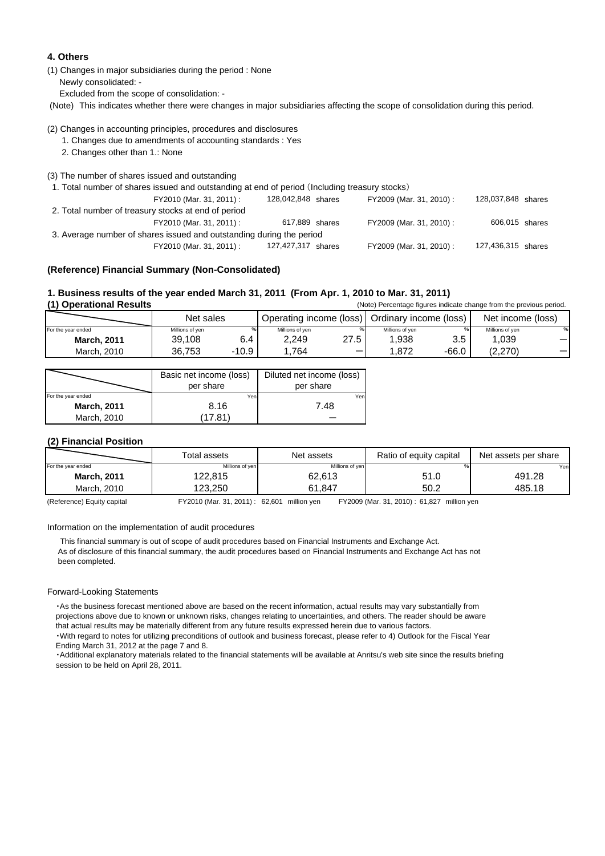#### **4. Others**

(1) Changes in major subsidiaries during the period : None Newly consolidated: - Excluded from the scope of consolidation: -

(Note) This indicates whether there were changes in major subsidiaries affecting the scope of consolidation during this period.

#### (2) Changes in accounting principles, procedures and disclosures

1. Changes due to amendments of accounting standards : Yes

2. Changes other than 1.: None

(3) The number of shares issued and outstanding

1. Total number of shares issued and outstanding at end of period (Including treasury stocks)

| FY2010 (Mar. 31, 2011) :                                             | 128,042,848 shares | FY2009 (Mar. 31, 2010) : | 128,037,848 shares |  |  |  |
|----------------------------------------------------------------------|--------------------|--------------------------|--------------------|--|--|--|
| 2. Total number of treasury stocks at end of period                  |                    |                          |                    |  |  |  |
| FY2010 (Mar. 31, 2011) :                                             | 617,889 shares     | FY2009 (Mar. 31, 2010) : | 606,015 shares     |  |  |  |
| 3. Average number of shares issued and outstanding during the period |                    |                          |                    |  |  |  |
| FY2010 (Mar. 31, 2011) :                                             | 127,427,317 shares | FY2009 (Mar. 31, 2010) : | 127,436,315 shares |  |  |  |

#### **(Reference) Financial Summary (Non-Consolidated)**

### **1. Business results of the year ended March 31, 2011 (From Apr. 1, 2010 to Mar. 31, 2011)**

(1) Operational Results **(Note)** Percentage figures indicate change from the previous period. For the year ended Millions of yen % Millions of yen % Millions of yen % Millions of yen % **March, 2011** March, 2010 36,753 -10.9 | 1,764 一 | 1,872 -66.0 | (2,270) 一 Net income (loss) 39,108 6.4 2,249 27.5 1,938 3.5 1,039 - Net sales **Operating income (loss)** Ordinary income (loss)

|                    | Basic net income (loss)<br>per share | Diluted net income (loss)<br>per share |
|--------------------|--------------------------------------|----------------------------------------|
| For the year ended | Yen                                  | Yen                                    |
| <b>March, 2011</b> | 8.16                                 | 7.48                                   |
| March, 2010        | 17.81                                |                                        |

#### **(2) Financial Position**

|                    | Total assets    | Net assets      | Ratio of equity capital | Net assets per share |
|--------------------|-----------------|-----------------|-------------------------|----------------------|
| For the year ended | Millions of yen | Millions of yen |                         | Yenl                 |
| <b>March, 2011</b> | 122,815         | 62,613          | 51.0                    | 491.28               |
| March, 2010        | 123.250         | 61.847          | 50.2                    | 485.18               |

(Reference) Equity capital FY2010 (Mar. 31, 2011) : 62,601 million yen FY2009 (Mar. 31, 2010) : 61,827 million yen

Information on the implementation of audit procedures

 This financial summary is out of scope of audit procedures based on Financial Instruments and Exchange Act. As of disclosure of this financial summary, the audit procedures based on Financial Instruments and Exchange Act has not been completed.

#### Forward-Looking Statements

 ・As the business forecast mentioned above are based on the recent information, actual results may vary substantially from projections above due to known or unknown risks, changes relating to uncertainties, and others. The reader should be aware that actual results may be materially different from any future results expressed herein due to various factors.

 ・With regard to notes for utilizing preconditions of outlook and business forecast, please refer to 4) Outlook for the Fiscal Year Ending March 31, 2012 at the page 7 and 8.

 ・Additional explanatory materials related to the financial statements will be available at Anritsu's web site since the results briefing session to be held on April 28, 2011.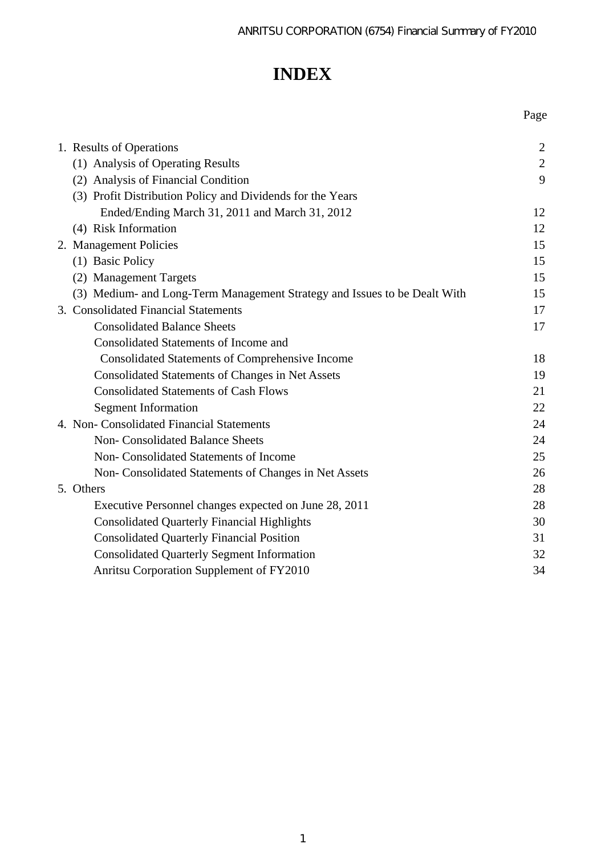Page

# **INDEX**

| 1. Results of Operations                                                  | $\overline{2}$ |
|---------------------------------------------------------------------------|----------------|
| (1) Analysis of Operating Results                                         | $\mathbf{2}$   |
| (2) Analysis of Financial Condition                                       | 9              |
| (3) Profit Distribution Policy and Dividends for the Years                |                |
| Ended/Ending March 31, 2011 and March 31, 2012                            | 12             |
| (4) Risk Information                                                      | 12             |
| 2. Management Policies                                                    | 15             |
| (1) Basic Policy                                                          | 15             |
| (2) Management Targets                                                    | 15             |
| (3) Medium- and Long-Term Management Strategy and Issues to be Dealt With | 15             |
| 3. Consolidated Financial Statements                                      | 17             |
| <b>Consolidated Balance Sheets</b>                                        | 17             |
| <b>Consolidated Statements of Income and</b>                              |                |
| <b>Consolidated Statements of Comprehensive Income</b>                    | 18             |
| <b>Consolidated Statements of Changes in Net Assets</b>                   | 19             |
| <b>Consolidated Statements of Cash Flows</b>                              | 21             |
| <b>Segment Information</b>                                                | 22             |
| 4. Non- Consolidated Financial Statements                                 | 24             |
| Non- Consolidated Balance Sheets                                          | 24             |
| Non- Consolidated Statements of Income                                    | 25             |
| Non- Consolidated Statements of Changes in Net Assets                     | 26             |
| 5. Others                                                                 | 28             |
| Executive Personnel changes expected on June 28, 2011                     | 28             |
| <b>Consolidated Quarterly Financial Highlights</b>                        | 30             |
| <b>Consolidated Quarterly Financial Position</b>                          | 31             |
| <b>Consolidated Quarterly Segment Information</b>                         | 32             |
| Anritsu Corporation Supplement of FY2010                                  | 34             |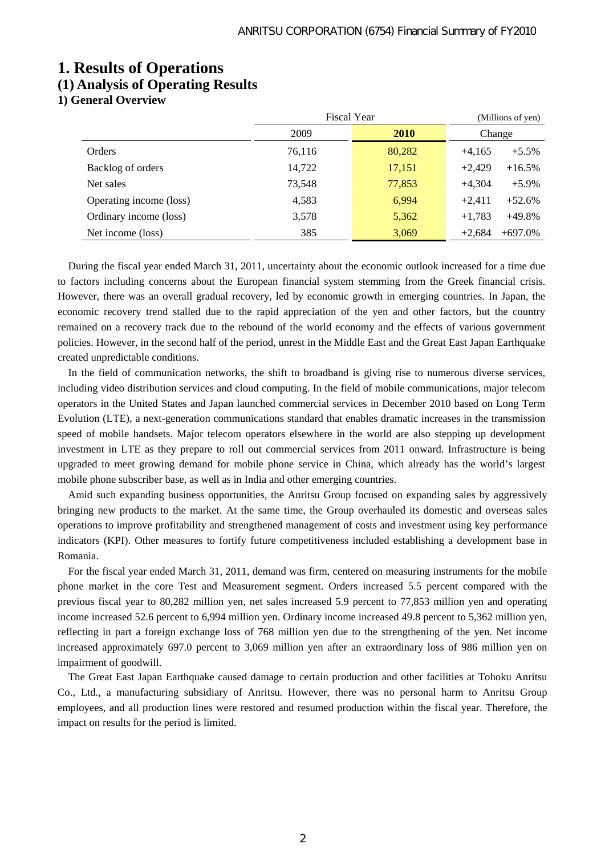## **1. Results of Operations (1) Analysis of Operating Results**

**1) General Overview** 

|                         | Fiscal Year |             | (Millions of yen)     |
|-------------------------|-------------|-------------|-----------------------|
|                         | 2009        | <b>2010</b> | Change                |
| Orders                  | 76,116      | 80,282      | $+4,165$<br>$+5.5%$   |
| Backlog of orders       | 14,722      | 17,151      | $+2,429$<br>$+16.5%$  |
| Net sales               | 73,548      | 77,853      | $+4,304$<br>$+5.9\%$  |
| Operating income (loss) | 4,583       | 6,994       | $+2,411$<br>$+52.6%$  |
| Ordinary income (loss)  | 3,578       | 5,362       | $+1,783$<br>$+49.8%$  |
| Net income (loss)       | 385         | 3,069       | $+697.0%$<br>$+2,684$ |

During the fiscal year ended March 31, 2011, uncertainty about the economic outlook increased for a time due to factors including concerns about the European financial system stemming from the Greek financial crisis. However, there was an overall gradual recovery, led by economic growth in emerging countries. In Japan, the economic recovery trend stalled due to the rapid appreciation of the yen and other factors, but the country remained on a recovery track due to the rebound of the world economy and the effects of various government policies. However, in the second half of the period, unrest in the Middle East and the Great East Japan Earthquake created unpredictable conditions.

In the field of communication networks, the shift to broadband is giving rise to numerous diverse services, including video distribution services and cloud computing. In the field of mobile communications, major telecom operators in the United States and Japan launched commercial services in December 2010 based on Long Term Evolution (LTE), a next-generation communications standard that enables dramatic increases in the transmission speed of mobile handsets. Major telecom operators elsewhere in the world are also stepping up development investment in LTE as they prepare to roll out commercial services from 2011 onward. Infrastructure is being upgraded to meet growing demand for mobile phone service in China, which already has the world's largest mobile phone subscriber base, as well as in India and other emerging countries.

Amid such expanding business opportunities, the Anritsu Group focused on expanding sales by aggressively bringing new products to the market. At the same time, the Group overhauled its domestic and overseas sales operations to improve profitability and strengthened management of costs and investment using key performance indicators (KPI). Other measures to fortify future competitiveness included establishing a development base in Romania.

For the fiscal year ended March 31, 2011, demand was firm, centered on measuring instruments for the mobile phone market in the core Test and Measurement segment. Orders increased 5.5 percent compared with the previous fiscal year to 80,282 million yen, net sales increased 5.9 percent to 77,853 million yen and operating income increased 52.6 percent to 6,994 million yen. Ordinary income increased 49.8 percent to 5,362 million yen, reflecting in part a foreign exchange loss of 768 million yen due to the strengthening of the yen. Net income increased approximately 697.0 percent to 3,069 million yen after an extraordinary loss of 986 million yen on impairment of goodwill.

The Great East Japan Earthquake caused damage to certain production and other facilities at Tohoku Anritsu Co., Ltd., a manufacturing subsidiary of Anritsu. However, there was no personal harm to Anritsu Group employees, and all production lines were restored and resumed production within the fiscal year. Therefore, the impact on results for the period is limited.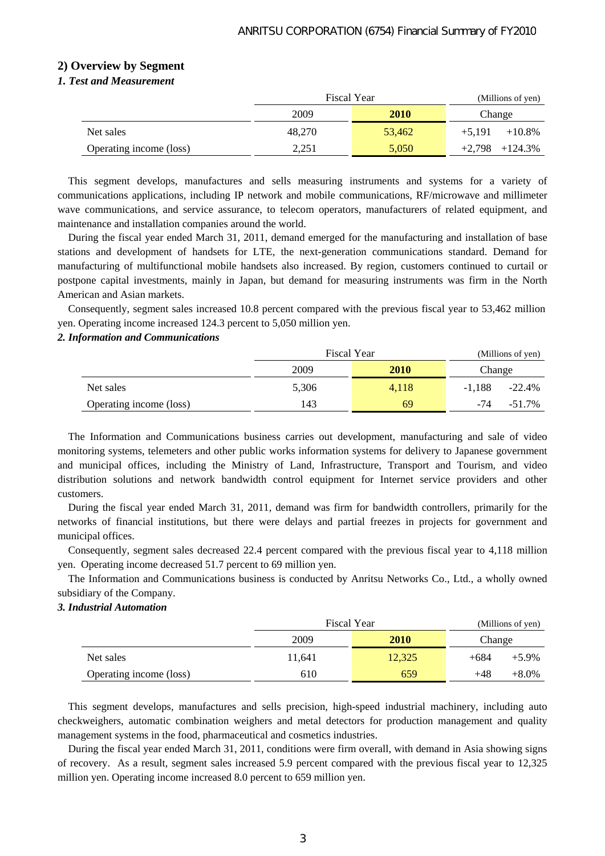### **2) Overview by Segment**

### *1. Test and Measurement*

|                         | <b>Fiscal Year</b> |             | (Millions of yen)     |  |
|-------------------------|--------------------|-------------|-----------------------|--|
|                         | 2009               | <b>2010</b> | Change                |  |
| Net sales               | 48,270             | 53,462      | $+5.191$<br>$+10.8\%$ |  |
| Operating income (loss) | 2,251              | 5,050       | $+2,798$ $+124.3\%$   |  |

This segment develops, manufactures and sells measuring instruments and systems for a variety of communications applications, including IP network and mobile communications, RF/microwave and millimeter wave communications, and service assurance, to telecom operators, manufacturers of related equipment, and maintenance and installation companies around the world.

During the fiscal year ended March 31, 2011, demand emerged for the manufacturing and installation of base stations and development of handsets for LTE, the next-generation communications standard. Demand for manufacturing of multifunctional mobile handsets also increased. By region, customers continued to curtail or postpone capital investments, mainly in Japan, but demand for measuring instruments was firm in the North American and Asian markets.

Consequently, segment sales increased 10.8 percent compared with the previous fiscal year to 53,462 million yen. Operating income increased 124.3 percent to 5,050 million yen.

### *2. Information and Communications*

|                         | <b>Fiscal Year</b> |       | (Millions of yen) |           |
|-------------------------|--------------------|-------|-------------------|-----------|
|                         | 2009               | 2010  | Change            |           |
| Net sales               | 5,306              | 4,118 | $-1.188$          | $-22.4%$  |
| Operating income (loss) | 143                | 69    | $-74$             | $-51.7\%$ |

The Information and Communications business carries out development, manufacturing and sale of video monitoring systems, telemeters and other public works information systems for delivery to Japanese government and municipal offices, including the Ministry of Land, Infrastructure, Transport and Tourism, and video distribution solutions and network bandwidth control equipment for Internet service providers and other customers.

During the fiscal year ended March 31, 2011, demand was firm for bandwidth controllers, primarily for the networks of financial institutions, but there were delays and partial freezes in projects for government and municipal offices.

Consequently, segment sales decreased 22.4 percent compared with the previous fiscal year to 4,118 million yen. Operating income decreased 51.7 percent to 69 million yen.

The Information and Communications business is conducted by Anritsu Networks Co., Ltd., a wholly owned subsidiary of the Company.

### *3. Industrial Automation*

|                         | Fiscal Year         |        | (Millions of yen) |          |
|-------------------------|---------------------|--------|-------------------|----------|
|                         | 2009<br><b>2010</b> |        | Change            |          |
| Net sales               | 11,641              | 12,325 | $+684$            | $+5.9\%$ |
| Operating income (loss) | 610                 | 659    | $+48$             | $+8.0\%$ |

This segment develops, manufactures and sells precision, high-speed industrial machinery, including auto checkweighers, automatic combination weighers and metal detectors for production management and quality management systems in the food, pharmaceutical and cosmetics industries.

During the fiscal year ended March 31, 2011, conditions were firm overall, with demand in Asia showing signs of recovery. As a result, segment sales increased 5.9 percent compared with the previous fiscal year to 12,325 million yen. Operating income increased 8.0 percent to 659 million yen.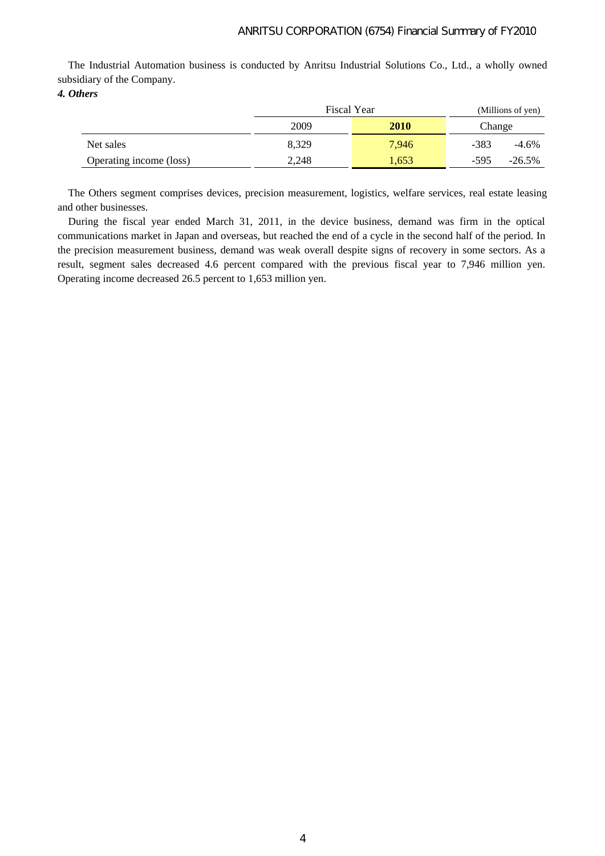The Industrial Automation business is conducted by Anritsu Industrial Solutions Co., Ltd., a wholly owned subsidiary of the Company.

*4. Others* 

|                         | <b>Fiscal Year</b> |       | (Millions of yen) |           |
|-------------------------|--------------------|-------|-------------------|-----------|
|                         | 2010<br>2009       |       | Change            |           |
| Net sales               | 8.329              | 7.946 | $-383$            | $-4.6\%$  |
| Operating income (loss) | 2,248              | 1,653 | -595              | $-26.5\%$ |

The Others segment comprises devices, precision measurement, logistics, welfare services, real estate leasing and other businesses.

During the fiscal year ended March 31, 2011, in the device business, demand was firm in the optical communications market in Japan and overseas, but reached the end of a cycle in the second half of the period. In the precision measurement business, demand was weak overall despite signs of recovery in some sectors. As a result, segment sales decreased 4.6 percent compared with the previous fiscal year to 7,946 million yen. Operating income decreased 26.5 percent to 1,653 million yen.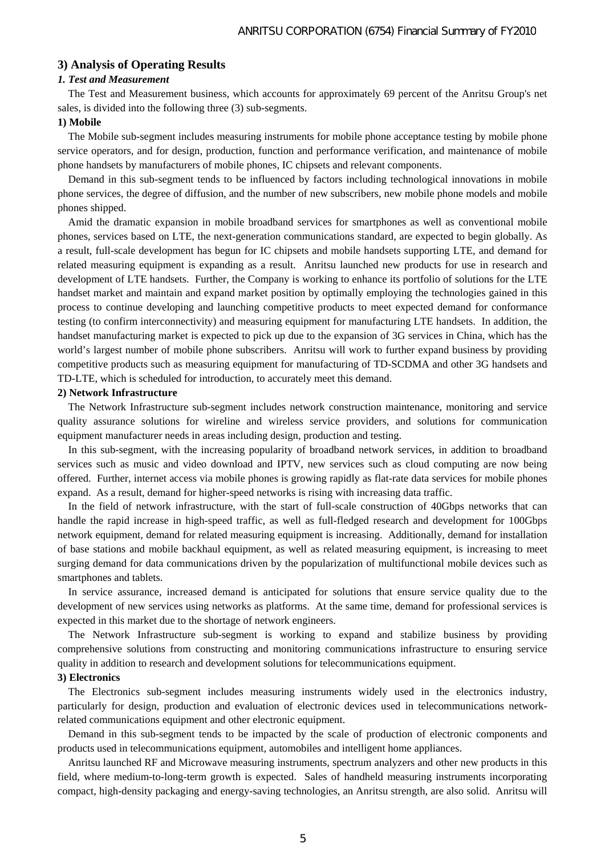### **3) Analysis of Operating Results**

### *1. Test and Measurement*

The Test and Measurement business, which accounts for approximately 69 percent of the Anritsu Group's net sales, is divided into the following three (3) sub-segments.

### **1) Mobile**

The Mobile sub-segment includes measuring instruments for mobile phone acceptance testing by mobile phone service operators, and for design, production, function and performance verification, and maintenance of mobile phone handsets by manufacturers of mobile phones, IC chipsets and relevant components.

Demand in this sub-segment tends to be influenced by factors including technological innovations in mobile phone services, the degree of diffusion, and the number of new subscribers, new mobile phone models and mobile phones shipped.

Amid the dramatic expansion in mobile broadband services for smartphones as well as conventional mobile phones, services based on LTE, the next-generation communications standard, are expected to begin globally. As a result, full-scale development has begun for IC chipsets and mobile handsets supporting LTE, and demand for related measuring equipment is expanding as a result. Anritsu launched new products for use in research and development of LTE handsets. Further, the Company is working to enhance its portfolio of solutions for the LTE handset market and maintain and expand market position by optimally employing the technologies gained in this process to continue developing and launching competitive products to meet expected demand for conformance testing (to confirm interconnectivity) and measuring equipment for manufacturing LTE handsets. In addition, the handset manufacturing market is expected to pick up due to the expansion of 3G services in China, which has the world's largest number of mobile phone subscribers. Anritsu will work to further expand business by providing competitive products such as measuring equipment for manufacturing of TD-SCDMA and other 3G handsets and TD-LTE, which is scheduled for introduction, to accurately meet this demand.

#### **2) Network Infrastructure**

The Network Infrastructure sub-segment includes network construction maintenance, monitoring and service quality assurance solutions for wireline and wireless service providers, and solutions for communication equipment manufacturer needs in areas including design, production and testing.

In this sub-segment, with the increasing popularity of broadband network services, in addition to broadband services such as music and video download and IPTV, new services such as cloud computing are now being offered. Further, internet access via mobile phones is growing rapidly as flat-rate data services for mobile phones expand. As a result, demand for higher-speed networks is rising with increasing data traffic.

In the field of network infrastructure, with the start of full-scale construction of 40Gbps networks that can handle the rapid increase in high-speed traffic, as well as full-fledged research and development for 100Gbps network equipment, demand for related measuring equipment is increasing. Additionally, demand for installation of base stations and mobile backhaul equipment, as well as related measuring equipment, is increasing to meet surging demand for data communications driven by the popularization of multifunctional mobile devices such as smartphones and tablets.

In service assurance, increased demand is anticipated for solutions that ensure service quality due to the development of new services using networks as platforms. At the same time, demand for professional services is expected in this market due to the shortage of network engineers.

The Network Infrastructure sub-segment is working to expand and stabilize business by providing comprehensive solutions from constructing and monitoring communications infrastructure to ensuring service quality in addition to research and development solutions for telecommunications equipment.

### **3) Electronics**

The Electronics sub-segment includes measuring instruments widely used in the electronics industry, particularly for design, production and evaluation of electronic devices used in telecommunications networkrelated communications equipment and other electronic equipment.

Demand in this sub-segment tends to be impacted by the scale of production of electronic components and products used in telecommunications equipment, automobiles and intelligent home appliances.

Anritsu launched RF and Microwave measuring instruments, spectrum analyzers and other new products in this field, where medium-to-long-term growth is expected. Sales of handheld measuring instruments incorporating compact, high-density packaging and energy-saving technologies, an Anritsu strength, are also solid. Anritsu will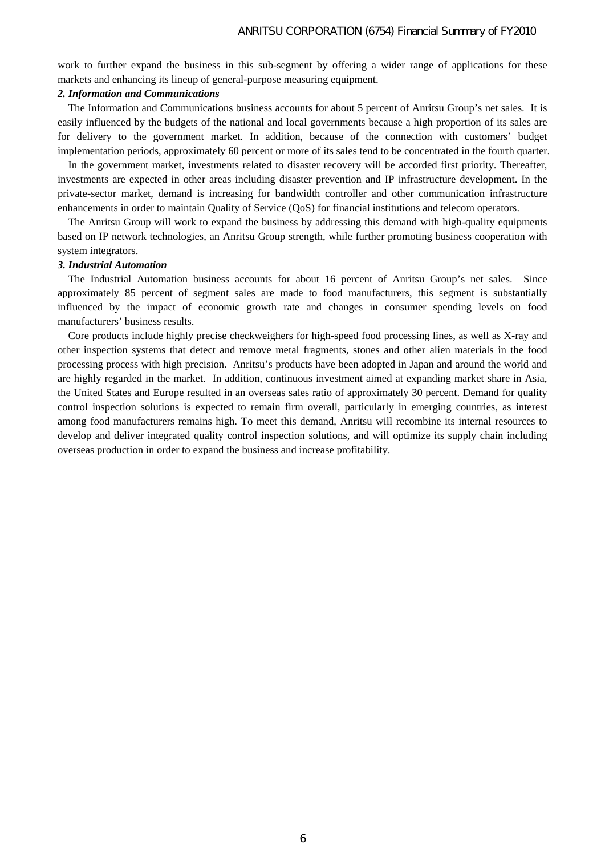work to further expand the business in this sub-segment by offering a wider range of applications for these markets and enhancing its lineup of general-purpose measuring equipment.

### *2. Information and Communications*

The Information and Communications business accounts for about 5 percent of Anritsu Group's net sales. It is easily influenced by the budgets of the national and local governments because a high proportion of its sales are for delivery to the government market. In addition, because of the connection with customers' budget implementation periods, approximately 60 percent or more of its sales tend to be concentrated in the fourth quarter.

In the government market, investments related to disaster recovery will be accorded first priority. Thereafter, investments are expected in other areas including disaster prevention and IP infrastructure development. In the private-sector market, demand is increasing for bandwidth controller and other communication infrastructure enhancements in order to maintain Quality of Service (QoS) for financial institutions and telecom operators.

The Anritsu Group will work to expand the business by addressing this demand with high-quality equipments based on IP network technologies, an Anritsu Group strength, while further promoting business cooperation with system integrators.

#### *3. Industrial Automation*

The Industrial Automation business accounts for about 16 percent of Anritsu Group's net sales. Since approximately 85 percent of segment sales are made to food manufacturers, this segment is substantially influenced by the impact of economic growth rate and changes in consumer spending levels on food manufacturers' business results.

Core products include highly precise checkweighers for high-speed food processing lines, as well as X-ray and other inspection systems that detect and remove metal fragments, stones and other alien materials in the food processing process with high precision. Anritsu's products have been adopted in Japan and around the world and are highly regarded in the market. In addition, continuous investment aimed at expanding market share in Asia, the United States and Europe resulted in an overseas sales ratio of approximately 30 percent. Demand for quality control inspection solutions is expected to remain firm overall, particularly in emerging countries, as interest among food manufacturers remains high. To meet this demand, Anritsu will recombine its internal resources to develop and deliver integrated quality control inspection solutions, and will optimize its supply chain including overseas production in order to expand the business and increase profitability.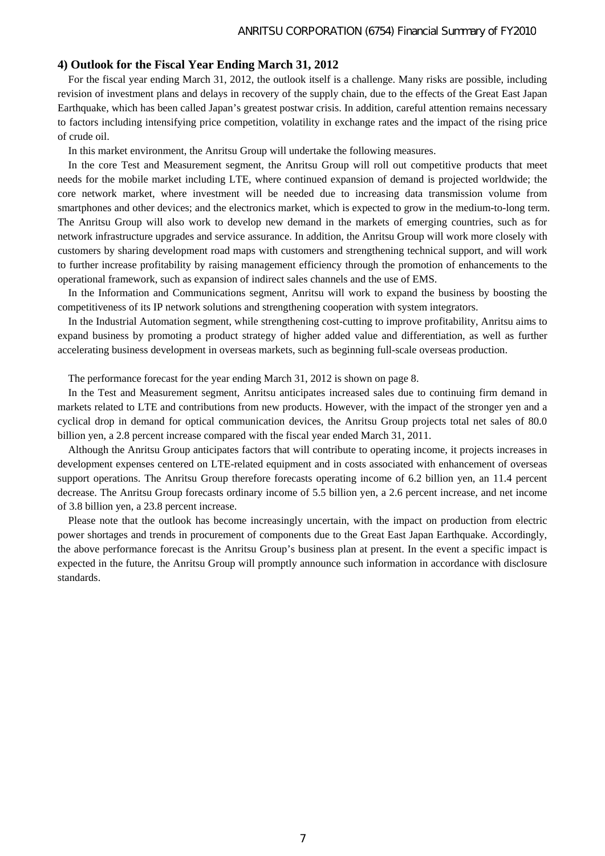### **4) Outlook for the Fiscal Year Ending March 31, 2012**

For the fiscal year ending March 31, 2012, the outlook itself is a challenge. Many risks are possible, including revision of investment plans and delays in recovery of the supply chain, due to the effects of the Great East Japan Earthquake, which has been called Japan's greatest postwar crisis. In addition, careful attention remains necessary to factors including intensifying price competition, volatility in exchange rates and the impact of the rising price of crude oil.

In this market environment, the Anritsu Group will undertake the following measures.

In the core Test and Measurement segment, the Anritsu Group will roll out competitive products that meet needs for the mobile market including LTE, where continued expansion of demand is projected worldwide; the core network market, where investment will be needed due to increasing data transmission volume from smartphones and other devices; and the electronics market, which is expected to grow in the medium-to-long term. The Anritsu Group will also work to develop new demand in the markets of emerging countries, such as for network infrastructure upgrades and service assurance. In addition, the Anritsu Group will work more closely with customers by sharing development road maps with customers and strengthening technical support, and will work to further increase profitability by raising management efficiency through the promotion of enhancements to the operational framework, such as expansion of indirect sales channels and the use of EMS.

In the Information and Communications segment, Anritsu will work to expand the business by boosting the competitiveness of its IP network solutions and strengthening cooperation with system integrators.

In the Industrial Automation segment, while strengthening cost-cutting to improve profitability, Anritsu aims to expand business by promoting a product strategy of higher added value and differentiation, as well as further accelerating business development in overseas markets, such as beginning full-scale overseas production.

The performance forecast for the year ending March 31, 2012 is shown on page 8.

In the Test and Measurement segment, Anritsu anticipates increased sales due to continuing firm demand in markets related to LTE and contributions from new products. However, with the impact of the stronger yen and a cyclical drop in demand for optical communication devices, the Anritsu Group projects total net sales of 80.0 billion yen, a 2.8 percent increase compared with the fiscal year ended March 31, 2011.

Although the Anritsu Group anticipates factors that will contribute to operating income, it projects increases in development expenses centered on LTE-related equipment and in costs associated with enhancement of overseas support operations. The Anritsu Group therefore forecasts operating income of 6.2 billion yen, an 11.4 percent decrease. The Anritsu Group forecasts ordinary income of 5.5 billion yen, a 2.6 percent increase, and net income of 3.8 billion yen, a 23.8 percent increase.

Please note that the outlook has become increasingly uncertain, with the impact on production from electric power shortages and trends in procurement of components due to the Great East Japan Earthquake. Accordingly, the above performance forecast is the Anritsu Group's business plan at present. In the event a specific impact is expected in the future, the Anritsu Group will promptly announce such information in accordance with disclosure standards.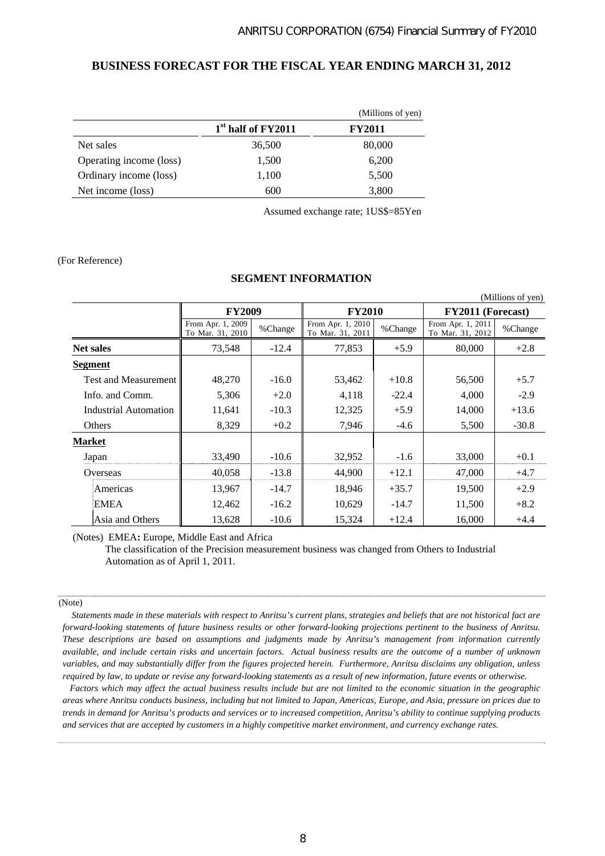### **BUSINESS FORECAST FOR THE FISCAL YEAR ENDING MARCH 31, 2012**

|                         |                                | (Millions of yen) |
|-------------------------|--------------------------------|-------------------|
|                         | 1 <sup>st</sup> half of FY2011 | <b>FY2011</b>     |
| Net sales               | 36,500                         | 80,000            |
| Operating income (loss) | 1,500                          | 6,200             |
| Ordinary income (loss)  | 1,100                          | 5,500             |
| Net income (loss)       | 600                            | 3,800             |

Assumed exchange rate; 1US\$=85Yen

### (For Reference)

### **SEGMENT INFORMATION**

| (Millions of yen)           |                                       |         |                                       |         |                                       |         |
|-----------------------------|---------------------------------------|---------|---------------------------------------|---------|---------------------------------------|---------|
|                             | <b>FY2009</b>                         |         | <b>FY2010</b>                         |         | FY2011 (Forecast)                     |         |
|                             | From Apr. 1, 2009<br>To Mar. 31, 2010 | %Change | From Apr. 1, 2010<br>To Mar. 31, 2011 | %Change | From Apr. 1, 2011<br>To Mar. 31, 2012 | %Change |
| <b>Net sales</b>            | 73,548                                | $-12.4$ | 77,853                                | $+5.9$  | 80,000                                | $+2.8$  |
| <b>Segment</b>              |                                       |         |                                       |         |                                       |         |
| <b>Test and Measurement</b> | 48,270                                | $-16.0$ | 53,462                                | $+10.8$ | 56,500                                | $+5.7$  |
| Info. and Comm.             | 5,306                                 | $+2.0$  | 4,118                                 | $-22.4$ | 4,000                                 | $-2.9$  |
| Industrial Automation       | 11,641                                | $-10.3$ | 12,325                                | $+5.9$  | 14,000                                | $+13.6$ |
| Others                      | 8,329                                 | $+0.2$  | 7,946                                 | $-4.6$  | 5,500                                 | $-30.8$ |
| <b>Market</b>               |                                       |         |                                       |         |                                       |         |
| Japan                       | 33,490                                | $-10.6$ | 32,952                                | $-1.6$  | 33,000                                | $+0.1$  |
| Overseas                    | 40.058                                | $-13.8$ | 44,900                                | $+12.1$ | 47,000                                | $+4.7$  |
| Americas                    | 13,967                                | $-14.7$ | 18,946                                | $+35.7$ | 19,500                                | $+2.9$  |
| <b>EMEA</b>                 | 12,462                                | $-16.2$ | 10,629                                | $-14.7$ | 11,500                                | $+8.2$  |
| Asia and Others             | 13,628                                | $-10.6$ | 15,324                                | $+12.4$ | 16,000                                | $+4.4$  |

(Notes) EMEA**:** Europe, Middle East and Africa

The classification of the Precision measurement business was changed from Others to Industrial Automation as of April 1, 2011.

#### (Note)

 *Statements made in these materials with respect to Anritsu's current plans, strategies and beliefs that are not historical fact are forward-looking statements of future business results or other forward-looking projections pertinent to the business of Anritsu. These descriptions are based on assumptions and judgments made by Anritsu's management from information currently available, and include certain risks and uncertain factors. Actual business results are the outcome of a number of unknown variables, and may substantially differ from the figures projected herein. Furthermore, Anritsu disclaims any obligation, unless required by law, to update or revise any forward-looking statements as a result of new information, future events or otherwise.*

*Factors which may affect the actual business results include but are not limited to the economic situation in the geographic areas where Anritsu conducts business, including but not limited to Japan, Americas, Europe, and Asia, pressure on prices due to trends in demand for Anritsu's products and services or to increased competition, Anritsu's ability to continue supplying products and services that are accepted by customers in a highly competitive market environment, and currency exchange rates.*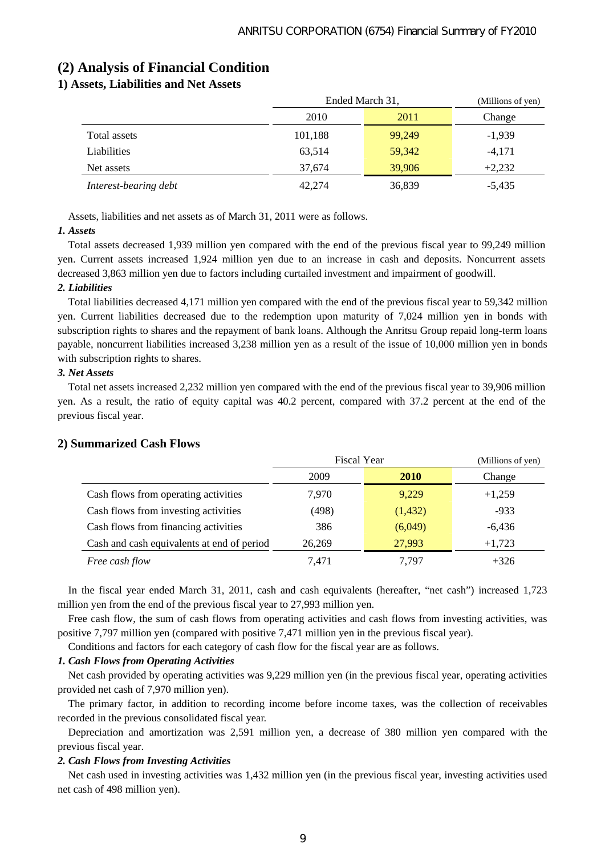## **(2) Analysis of Financial Condition**

## **1) Assets, Liabilities and Net Assets**

|                       | Ended March 31, |        | (Millions of yen) |
|-----------------------|-----------------|--------|-------------------|
|                       | 2010            | 2011   | Change            |
| Total assets          | 101,188         | 99,249 | $-1,939$          |
| Liabilities           | 63.514          | 59,342 | $-4.171$          |
| Net assets            | 37.674          | 39,906 | $+2,232$          |
| Interest-bearing debt | 42,274          | 36,839 | $-5,435$          |

Assets, liabilities and net assets as of March 31, 2011 were as follows.

### *1. Assets*

Total assets decreased 1,939 million yen compared with the end of the previous fiscal year to 99,249 million yen. Current assets increased 1,924 million yen due to an increase in cash and deposits. Noncurrent assets decreased 3,863 million yen due to factors including curtailed investment and impairment of goodwill.

### *2. Liabilities*

Total liabilities decreased 4,171 million yen compared with the end of the previous fiscal year to 59,342 million yen. Current liabilities decreased due to the redemption upon maturity of 7,024 million yen in bonds with subscription rights to shares and the repayment of bank loans. Although the Anritsu Group repaid long-term loans payable, noncurrent liabilities increased 3,238 million yen as a result of the issue of 10,000 million yen in bonds with subscription rights to shares.

### *3. Net Assets*

Total net assets increased 2,232 million yen compared with the end of the previous fiscal year to 39,906 million yen. As a result, the ratio of equity capital was 40.2 percent, compared with 37.2 percent at the end of the previous fiscal year.

|                                            | <b>Fiscal Year</b> | (Millions of yen) |          |
|--------------------------------------------|--------------------|-------------------|----------|
|                                            | 2009               | <b>2010</b>       | Change   |
| Cash flows from operating activities       | 7.970              | 9.229             | $+1,259$ |
| Cash flows from investing activities       | (498)              | (1,432)           | $-933$   |
| Cash flows from financing activities       | 386                | (6,049)           | $-6,436$ |
| Cash and cash equivalents at end of period | 26.269             | 27,993            | $+1,723$ |
| Free cash flow                             | 7.471              | 7.797             | $+326$   |

### **2) Summarized Cash Flows**

In the fiscal year ended March 31, 2011, cash and cash equivalents (hereafter, "net cash") increased 1,723 million yen from the end of the previous fiscal year to 27,993 million yen.

Free cash flow, the sum of cash flows from operating activities and cash flows from investing activities, was positive 7,797 million yen (compared with positive 7,471 million yen in the previous fiscal year).

Conditions and factors for each category of cash flow for the fiscal year are as follows.

### *1. Cash Flows from Operating Activities*

Net cash provided by operating activities was 9,229 million yen (in the previous fiscal year, operating activities provided net cash of 7,970 million yen).

The primary factor, in addition to recording income before income taxes, was the collection of receivables recorded in the previous consolidated fiscal year.

Depreciation and amortization was 2,591 million yen, a decrease of 380 million yen compared with the previous fiscal year.

### *2. Cash Flows from Investing Activities*

Net cash used in investing activities was 1,432 million yen (in the previous fiscal year, investing activities used net cash of 498 million yen).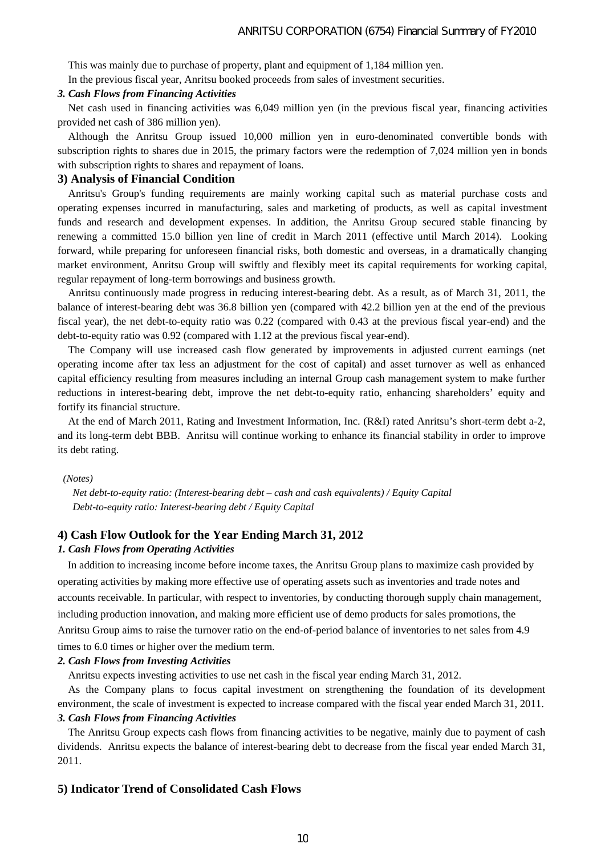This was mainly due to purchase of property, plant and equipment of 1,184 million yen. In the previous fiscal year, Anritsu booked proceeds from sales of investment securities.

#### *3. Cash Flows from Financing Activities*

Net cash used in financing activities was 6,049 million yen (in the previous fiscal year, financing activities provided net cash of 386 million yen).

Although the Anritsu Group issued 10,000 million yen in euro-denominated convertible bonds with subscription rights to shares due in 2015, the primary factors were the redemption of 7,024 million yen in bonds with subscription rights to shares and repayment of loans.

#### **3) Analysis of Financial Condition**

Anritsu's Group's funding requirements are mainly working capital such as material purchase costs and operating expenses incurred in manufacturing, sales and marketing of products, as well as capital investment funds and research and development expenses. In addition, the Anritsu Group secured stable financing by renewing a committed 15.0 billion yen line of credit in March 2011 (effective until March 2014). Looking forward, while preparing for unforeseen financial risks, both domestic and overseas, in a dramatically changing market environment, Anritsu Group will swiftly and flexibly meet its capital requirements for working capital, regular repayment of long-term borrowings and business growth.

Anritsu continuously made progress in reducing interest-bearing debt. As a result, as of March 31, 2011, the balance of interest-bearing debt was 36.8 billion yen (compared with 42.2 billion yen at the end of the previous fiscal year), the net debt-to-equity ratio was 0.22 (compared with 0.43 at the previous fiscal year-end) and the debt-to-equity ratio was 0.92 (compared with 1.12 at the previous fiscal year-end).

The Company will use increased cash flow generated by improvements in adjusted current earnings (net operating income after tax less an adjustment for the cost of capital) and asset turnover as well as enhanced capital efficiency resulting from measures including an internal Group cash management system to make further reductions in interest-bearing debt, improve the net debt-to-equity ratio, enhancing shareholders' equity and fortify its financial structure.

At the end of March 2011, Rating and Investment Information, Inc. (R&I) rated Anritsu's short-term debt a-2, and its long-term debt BBB. Anritsu will continue working to enhance its financial stability in order to improve its debt rating.

#### *(Notes)*

*Net debt-to-equity ratio: (Interest-bearing debt – cash and cash equivalents) / Equity Capital Debt-to-equity ratio: Interest-bearing debt / Equity Capital* 

### **4) Cash Flow Outlook for the Year Ending March 31, 2012**

### *1. Cash Flows from Operating Activities*

In addition to increasing income before income taxes, the Anritsu Group plans to maximize cash provided by operating activities by making more effective use of operating assets such as inventories and trade notes and accounts receivable. In particular, with respect to inventories, by conducting thorough supply chain management, including production innovation, and making more efficient use of demo products for sales promotions, the Anritsu Group aims to raise the turnover ratio on the end-of-period balance of inventories to net sales from 4.9 times to 6.0 times or higher over the medium term.

### *2. Cash Flows from Investing Activities*

Anritsu expects investing activities to use net cash in the fiscal year ending March 31, 2012.

As the Company plans to focus capital investment on strengthening the foundation of its development environment, the scale of investment is expected to increase compared with the fiscal year ended March 31, 2011.

### *3. Cash Flows from Financing Activities*

The Anritsu Group expects cash flows from financing activities to be negative, mainly due to payment of cash dividends. Anritsu expects the balance of interest-bearing debt to decrease from the fiscal year ended March 31, 2011.

### **5) Indicator Trend of Consolidated Cash Flows**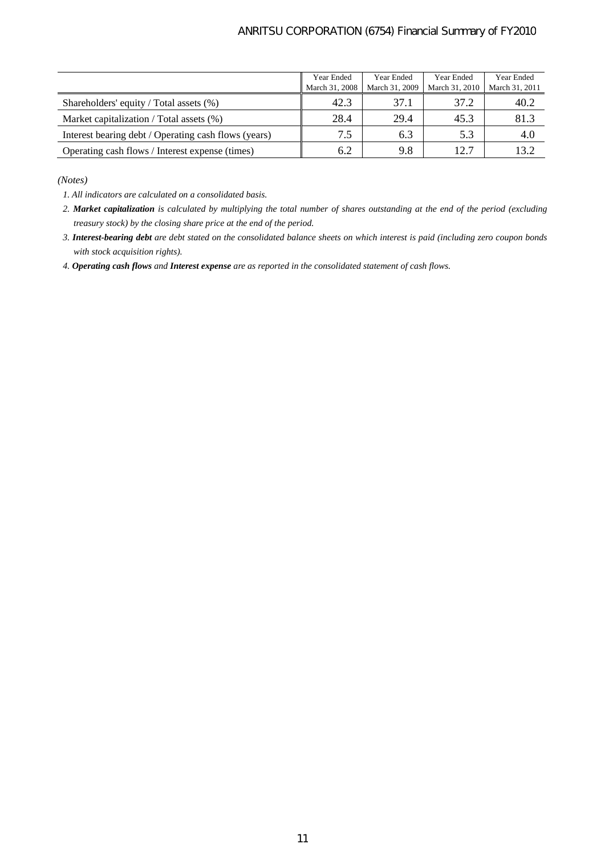### ANRITSU CORPORATION (6754) Financial Summary of FY2010

|                                                      | Year Ended<br>March 31, 2008 | Year Ended<br>March 31, 2009 | Year Ended<br>March 31, 2010 | Year Ended<br>March 31, 2011 |
|------------------------------------------------------|------------------------------|------------------------------|------------------------------|------------------------------|
| Shareholders' equity / Total assets (%)              | 42.3                         | 37.1                         | 37.2                         | 40.2                         |
| Market capitalization / Total assets (%)             | 28.4                         | 29.4                         | 45.3                         | 81.3                         |
| Interest bearing debt / Operating cash flows (years) | 7.5                          | 6.3                          | 5.3                          | 4.0                          |
| Operating cash flows / Interest expense (times)      | 6.2                          | 9.8                          | 12.7                         | 13.2                         |

*(Notes)* 

*1. All indicators are calculated on a consolidated basis.* 

*2. Market capitalization is calculated by multiplying the total number of shares outstanding at the end of the period (excluding treasury stock) by the closing share price at the end of the period.* 

*3. Interest-bearing debt are debt stated on the consolidated balance sheets on which interest is paid (including zero coupon bonds with stock acquisition rights).* 

*4. Operating cash flows and Interest expense are as reported in the consolidated statement of cash flows.*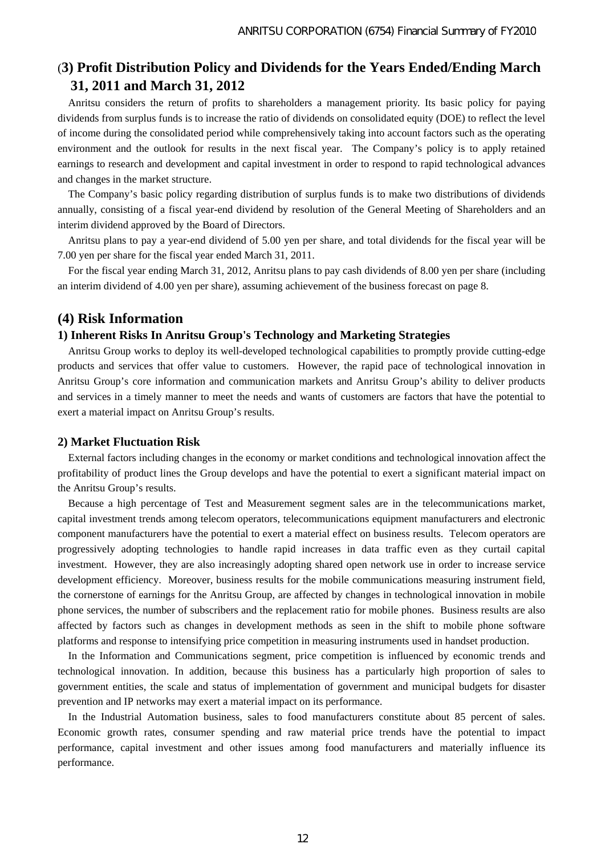## (**3) Profit Distribution Policy and Dividends for the Years Ended/Ending March 31, 2011 and March 31, 2012**

Anritsu considers the return of profits to shareholders a management priority. Its basic policy for paying dividends from surplus funds is to increase the ratio of dividends on consolidated equity (DOE) to reflect the level of income during the consolidated period while comprehensively taking into account factors such as the operating environment and the outlook for results in the next fiscal year. The Company's policy is to apply retained earnings to research and development and capital investment in order to respond to rapid technological advances and changes in the market structure.

The Company's basic policy regarding distribution of surplus funds is to make two distributions of dividends annually, consisting of a fiscal year-end dividend by resolution of the General Meeting of Shareholders and an interim dividend approved by the Board of Directors.

Anritsu plans to pay a year-end dividend of 5.00 yen per share, and total dividends for the fiscal year will be 7.00 yen per share for the fiscal year ended March 31, 2011.

For the fiscal year ending March 31, 2012, Anritsu plans to pay cash dividends of 8.00 yen per share (including an interim dividend of 4.00 yen per share), assuming achievement of the business forecast on page 8.

## **(4) Risk Information**

### **1) Inherent Risks In Anritsu Group's Technology and Marketing Strategies**

Anritsu Group works to deploy its well-developed technological capabilities to promptly provide cutting-edge products and services that offer value to customers. However, the rapid pace of technological innovation in Anritsu Group's core information and communication markets and Anritsu Group's ability to deliver products and services in a timely manner to meet the needs and wants of customers are factors that have the potential to exert a material impact on Anritsu Group's results.

### **2) Market Fluctuation Risk**

External factors including changes in the economy or market conditions and technological innovation affect the profitability of product lines the Group develops and have the potential to exert a significant material impact on the Anritsu Group's results.

Because a high percentage of Test and Measurement segment sales are in the telecommunications market, capital investment trends among telecom operators, telecommunications equipment manufacturers and electronic component manufacturers have the potential to exert a material effect on business results. Telecom operators are progressively adopting technologies to handle rapid increases in data traffic even as they curtail capital investment. However, they are also increasingly adopting shared open network use in order to increase service development efficiency. Moreover, business results for the mobile communications measuring instrument field, the cornerstone of earnings for the Anritsu Group, are affected by changes in technological innovation in mobile phone services, the number of subscribers and the replacement ratio for mobile phones. Business results are also affected by factors such as changes in development methods as seen in the shift to mobile phone software platforms and response to intensifying price competition in measuring instruments used in handset production.

In the Information and Communications segment, price competition is influenced by economic trends and technological innovation. In addition, because this business has a particularly high proportion of sales to government entities, the scale and status of implementation of government and municipal budgets for disaster prevention and IP networks may exert a material impact on its performance.

In the Industrial Automation business, sales to food manufacturers constitute about 85 percent of sales. Economic growth rates, consumer spending and raw material price trends have the potential to impact performance, capital investment and other issues among food manufacturers and materially influence its performance.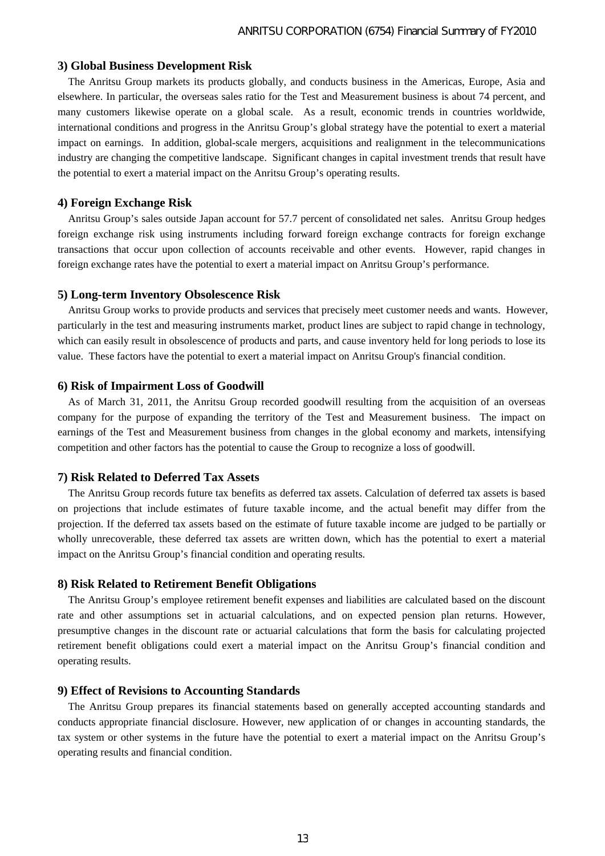### **3) Global Business Development Risk**

The Anritsu Group markets its products globally, and conducts business in the Americas, Europe, Asia and elsewhere. In particular, the overseas sales ratio for the Test and Measurement business is about 74 percent, and many customers likewise operate on a global scale. As a result, economic trends in countries worldwide, international conditions and progress in the Anritsu Group's global strategy have the potential to exert a material impact on earnings. In addition, global-scale mergers, acquisitions and realignment in the telecommunications industry are changing the competitive landscape. Significant changes in capital investment trends that result have the potential to exert a material impact on the Anritsu Group's operating results.

### **4) Foreign Exchange Risk**

Anritsu Group's sales outside Japan account for 57.7 percent of consolidated net sales. Anritsu Group hedges foreign exchange risk using instruments including forward foreign exchange contracts for foreign exchange transactions that occur upon collection of accounts receivable and other events. However, rapid changes in foreign exchange rates have the potential to exert a material impact on Anritsu Group's performance.

### **5) Long-term Inventory Obsolescence Risk**

Anritsu Group works to provide products and services that precisely meet customer needs and wants. However, particularly in the test and measuring instruments market, product lines are subject to rapid change in technology, which can easily result in obsolescence of products and parts, and cause inventory held for long periods to lose its value. These factors have the potential to exert a material impact on Anritsu Group's financial condition.

#### **6) Risk of Impairment Loss of Goodwill**

As of March 31, 2011, the Anritsu Group recorded goodwill resulting from the acquisition of an overseas company for the purpose of expanding the territory of the Test and Measurement business. The impact on earnings of the Test and Measurement business from changes in the global economy and markets, intensifying competition and other factors has the potential to cause the Group to recognize a loss of goodwill.

### **7) Risk Related to Deferred Tax Assets**

The Anritsu Group records future tax benefits as deferred tax assets. Calculation of deferred tax assets is based on projections that include estimates of future taxable income, and the actual benefit may differ from the projection. If the deferred tax assets based on the estimate of future taxable income are judged to be partially or wholly unrecoverable, these deferred tax assets are written down, which has the potential to exert a material impact on the Anritsu Group's financial condition and operating results.

### **8) Risk Related to Retirement Benefit Obligations**

The Anritsu Group's employee retirement benefit expenses and liabilities are calculated based on the discount rate and other assumptions set in actuarial calculations, and on expected pension plan returns. However, presumptive changes in the discount rate or actuarial calculations that form the basis for calculating projected retirement benefit obligations could exert a material impact on the Anritsu Group's financial condition and operating results.

### **9) Effect of Revisions to Accounting Standards**

The Anritsu Group prepares its financial statements based on generally accepted accounting standards and conducts appropriate financial disclosure. However, new application of or changes in accounting standards, the tax system or other systems in the future have the potential to exert a material impact on the Anritsu Group's operating results and financial condition.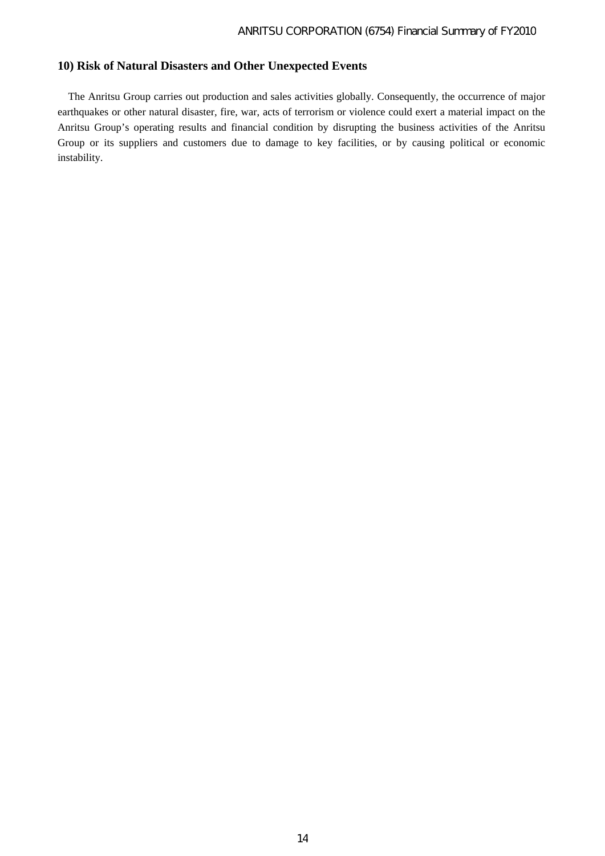### **10) Risk of Natural Disasters and Other Unexpected Events**

The Anritsu Group carries out production and sales activities globally. Consequently, the occurrence of major earthquakes or other natural disaster, fire, war, acts of terrorism or violence could exert a material impact on the Anritsu Group's operating results and financial condition by disrupting the business activities of the Anritsu Group or its suppliers and customers due to damage to key facilities, or by causing political or economic instability.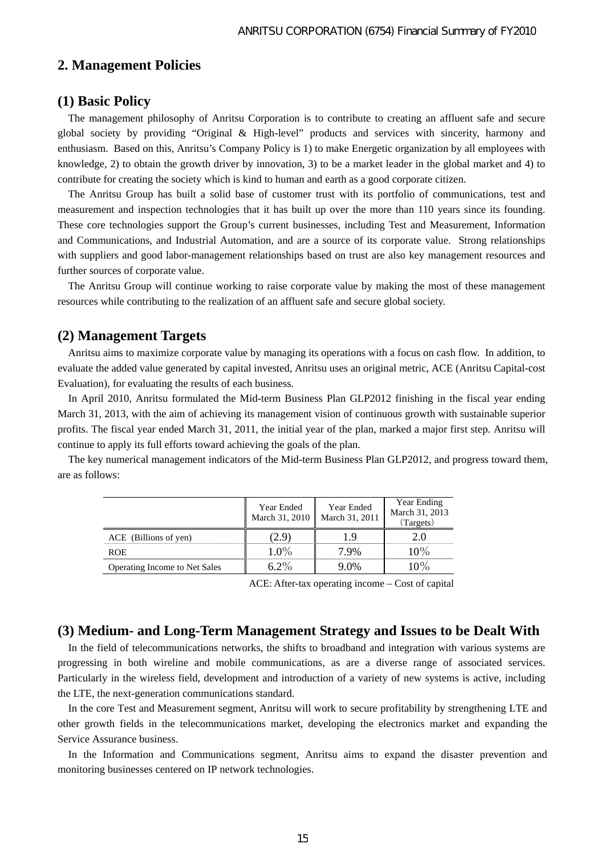## **2. Management Policies**

## **(1) Basic Policy**

The management philosophy of Anritsu Corporation is to contribute to creating an affluent safe and secure global society by providing "Original & High-level" products and services with sincerity, harmony and enthusiasm. Based on this, Anritsu's Company Policy is 1) to make Energetic organization by all employees with knowledge, 2) to obtain the growth driver by innovation, 3) to be a market leader in the global market and 4) to contribute for creating the society which is kind to human and earth as a good corporate citizen.

The Anritsu Group has built a solid base of customer trust with its portfolio of communications, test and measurement and inspection technologies that it has built up over the more than 110 years since its founding. These core technologies support the Group's current businesses, including Test and Measurement, Information and Communications, and Industrial Automation, and are a source of its corporate value. Strong relationships with suppliers and good labor-management relationships based on trust are also key management resources and further sources of corporate value.

The Anritsu Group will continue working to raise corporate value by making the most of these management resources while contributing to the realization of an affluent safe and secure global society.

### **(2) Management Targets**

Anritsu aims to maximize corporate value by managing its operations with a focus on cash flow. In addition, to evaluate the added value generated by capital invested, Anritsu uses an original metric, ACE (Anritsu Capital-cost Evaluation), for evaluating the results of each business.

In April 2010, Anritsu formulated the Mid-term Business Plan GLP2012 finishing in the fiscal year ending March 31, 2013, with the aim of achieving its management vision of continuous growth with sustainable superior profits. The fiscal year ended March 31, 2011, the initial year of the plan, marked a major first step. Anritsu will continue to apply its full efforts toward achieving the goals of the plan.

The key numerical management indicators of the Mid-term Business Plan GLP2012, and progress toward them, are as follows:

|                                      | Year Ended<br>March 31, 2010 | Year Ended<br>March 31, 2011 | Year Ending<br>March 31, 2013<br>(Targets) |
|--------------------------------------|------------------------------|------------------------------|--------------------------------------------|
| ACE (Billions of yen)                |                              |                              |                                            |
| <b>ROE</b>                           | $1.0\%$                      | 7 9%                         | $10\%$                                     |
| <b>Operating Income to Net Sales</b> |                              | (10)                         |                                            |

ACE: After-tax operating income – Cost of capital

### **(3) Medium- and Long-Term Management Strategy and Issues to be Dealt With**

In the field of telecommunications networks, the shifts to broadband and integration with various systems are progressing in both wireline and mobile communications, as are a diverse range of associated services. Particularly in the wireless field, development and introduction of a variety of new systems is active, including the LTE, the next-generation communications standard.

In the core Test and Measurement segment, Anritsu will work to secure profitability by strengthening LTE and other growth fields in the telecommunications market, developing the electronics market and expanding the Service Assurance business.

In the Information and Communications segment, Anritsu aims to expand the disaster prevention and monitoring businesses centered on IP network technologies.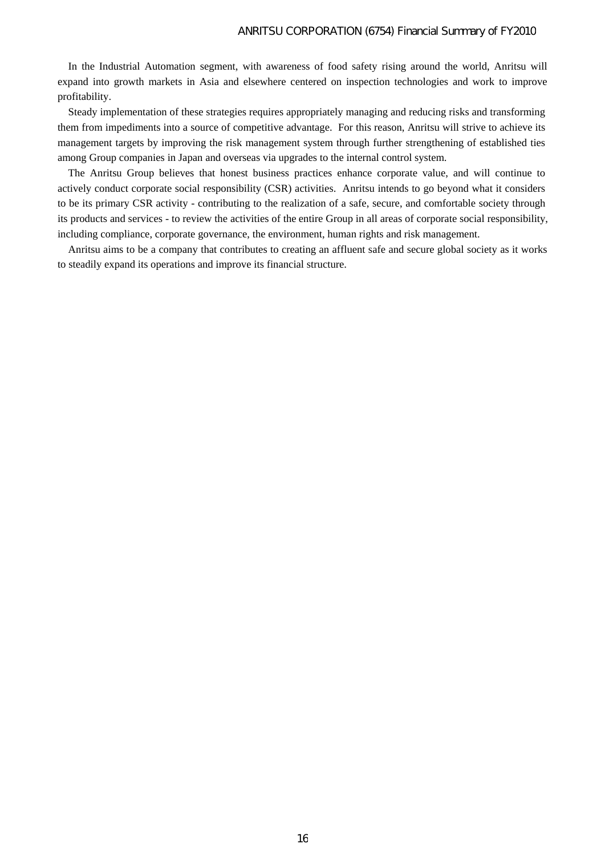In the Industrial Automation segment, with awareness of food safety rising around the world, Anritsu will expand into growth markets in Asia and elsewhere centered on inspection technologies and work to improve profitability.

Steady implementation of these strategies requires appropriately managing and reducing risks and transforming them from impediments into a source of competitive advantage. For this reason, Anritsu will strive to achieve its management targets by improving the risk management system through further strengthening of established ties among Group companies in Japan and overseas via upgrades to the internal control system.

The Anritsu Group believes that honest business practices enhance corporate value, and will continue to actively conduct corporate social responsibility (CSR) activities. Anritsu intends to go beyond what it considers to be its primary CSR activity - contributing to the realization of a safe, secure, and comfortable society through its products and services - to review the activities of the entire Group in all areas of corporate social responsibility, including compliance, corporate governance, the environment, human rights and risk management.

Anritsu aims to be a company that contributes to creating an affluent safe and secure global society as it works to steadily expand its operations and improve its financial structure.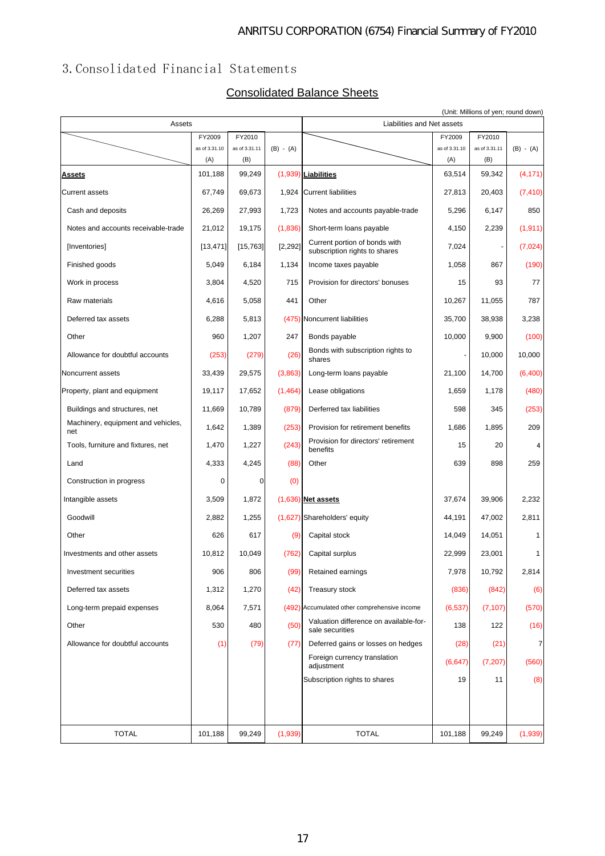## 3.Consolidated Financial Statements

## Consolidated Balance Sheets

| Assets                                    |               |               |             | Liabilities and Net assets                                     |               | (Unit: Millions of yen; round down) |             |
|-------------------------------------------|---------------|---------------|-------------|----------------------------------------------------------------|---------------|-------------------------------------|-------------|
|                                           | FY2009        | FY2010        |             |                                                                | FY2009        | FY2010                              |             |
|                                           | as of 3.31.10 | as of 3.31.11 | $(B) - (A)$ |                                                                | as of 3.31.10 | as of 3.31.11                       | $(B) - (A)$ |
|                                           | (A)           | (B)           |             |                                                                | (A)           | (B)                                 |             |
| <b>Assets</b>                             | 101,188       | 99,249        |             | (1,939) Liabilities                                            | 63,514        | 59,342                              | (4, 171)    |
| <b>Current assets</b>                     | 67,749        | 69,673        | 1,924       | <b>Current liabilities</b>                                     | 27,813        | 20,403                              | (7, 410)    |
| Cash and deposits                         | 26,269        | 27,993        | 1,723       | Notes and accounts payable-trade                               | 5,296         | 6,147                               | 850         |
| Notes and accounts receivable-trade       | 21,012        | 19,175        | (1,836)     | Short-term loans payable                                       | 4,150         | 2,239                               | (1, 911)    |
| [Inventories]                             | [13, 471]     | [15, 763]     | [2, 292]    | Current portion of bonds with<br>subscription rights to shares | 7,024         | ٠                                   | (7,024)     |
| Finished goods                            | 5,049         | 6,184         | 1,134       | Income taxes payable                                           | 1,058         | 867                                 | (190)       |
| Work in process                           | 3,804         | 4,520         | 715         | Provision for directors' bonuses                               | 15            | 93                                  | 77          |
| Raw materials                             | 4,616         | 5,058         | 441         | Other                                                          | 10,267        | 11,055                              | 787         |
| Deferred tax assets                       | 6,288         | 5,813         |             | (475) Noncurrent liabilities                                   | 35,700        | 38,938                              | 3,238       |
| Other                                     | 960           | 1,207         | 247         | Bonds payable                                                  | 10,000        | 9,900                               | (100)       |
| Allowance for doubtful accounts           | (253)         | (279)         | (26)        | Bonds with subscription rights to<br>shares                    | $\frac{1}{2}$ | 10,000                              | 10,000      |
| Noncurrent assets                         | 33,439        | 29,575        | (3,863)     | Long-term loans payable                                        | 21,100        | 14,700                              | (6,400)     |
| Property, plant and equipment             | 19,117        | 17,652        | (1,464)     | Lease obligations                                              | 1,659         | 1,178                               | (480)       |
| Buildings and structures, net             | 11,669        | 10,789        | (879)       | Derferred tax liabilities                                      | 598           | 345                                 | (253)       |
| Machinery, equipment and vehicles,<br>net | 1,642         | 1,389         | (253)       | Provision for retirement benefits                              | 1,686         | 1,895                               | 209         |
| Tools, furniture and fixtures, net        | 1,470         | 1,227         | (243)       | Provision for directors' retirement<br>benefits                | 15            | 20                                  | 4           |
| Land                                      | 4,333         | 4,245         | (88)        | Other                                                          | 639           | 898                                 | 259         |
| Construction in progress                  | 0             | 0             | (0)         |                                                                |               |                                     |             |
| Intangible assets                         | 3,509         | 1,872         |             | $(1,636)$ Net assets                                           | 37,674        | 39,906                              | 2,232       |
| Goodwill                                  | 2,882         | 1,255         |             | (1,627) Shareholders' equity                                   | 44,191        | 47,002                              | 2,811       |
| Other                                     | 626           | 617           | (9)         | Capital stock                                                  | 14,049        | 14,051                              | 1           |
| Investments and other assets              | 10,812        | 10,049        | (762)       | Capital surplus                                                | 22,999        | 23,001                              | 1           |
| Investment securities                     | 906           | 806           | (99)        | Retained earnings                                              | 7,978         | 10,792                              | 2,814       |
| Deferred tax assets                       | 1,312         | 1,270         | (42)        | Treasury stock                                                 | (836)         | (842)                               | (6)         |
| Long-term prepaid expenses                | 8,064         | 7,571         |             | (492) Accumulated other comprehensive income                   | (6, 537)      | (7, 107)                            | (570)       |
| Other                                     | 530           | 480           | (50)        | Valuation difference on available-for-<br>sale securities      | 138           | 122                                 | (16)        |
| Allowance for doubtful accounts           | (1)           | (79)          | (77)        | Deferred gains or losses on hedges                             | (28)          | (21)                                | 7           |
|                                           |               |               |             | Foreign currency translation<br>adjustment                     | (6, 647)      | (7,207)                             | (560)       |
|                                           |               |               |             | Subscription rights to shares                                  | 19            | 11                                  | (8)         |
|                                           |               |               |             |                                                                |               |                                     |             |
|                                           |               |               |             |                                                                |               |                                     |             |
| <b>TOTAL</b>                              | 101,188       | 99,249        | (1,939)     | <b>TOTAL</b>                                                   | 101,188       | 99,249                              | (1,939)     |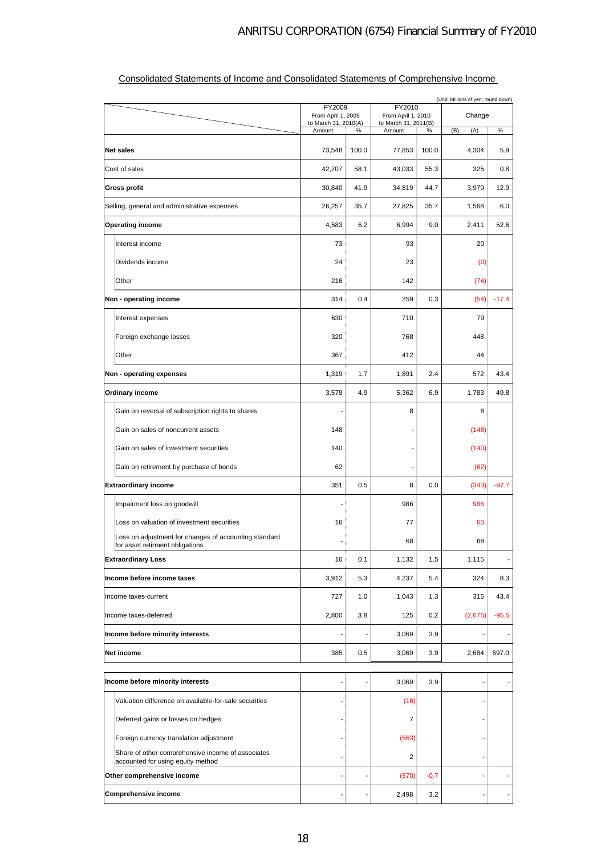|                                                                                          | (Unit: Millions of yen; round down) |       |                                |        |               |         |
|------------------------------------------------------------------------------------------|-------------------------------------|-------|--------------------------------|--------|---------------|---------|
|                                                                                          | FY2009<br>From April 1, 2009        |       | FY2010<br>From April 1, 2010   |        | Change        |         |
|                                                                                          | to March 31, 2010(A)<br>Amount      | %     | to March 31, 2011(B)<br>Amount | %      | (B)<br>$-(A)$ | $\%$    |
|                                                                                          |                                     |       |                                |        |               |         |
| <b>Net sales</b>                                                                         | 73,548                              | 100.0 | 77,853                         | 100.0  | 4,304         | 5.9     |
| Cost of sales                                                                            | 42,707                              | 58.1  | 43,033                         | 55.3   | 325           | 0.8     |
| Gross profit                                                                             | 30,840                              | 41.9  | 34,819                         | 44.7   | 3,979         | 12.9    |
| Selling, general and administrative expenses                                             | 26,257                              | 35.7  | 27,825                         | 35.7   | 1,568         | 6.0     |
| <b>Operating income</b>                                                                  | 4,583                               | 6.2   | 6,994                          | 9.0    | 2,411         | 52.6    |
| Interest income                                                                          | 73                                  |       | 93                             |        | 20            |         |
| Dividends income                                                                         | 24                                  |       | 23                             |        | (0)           |         |
| Other                                                                                    | 216                                 |       | 142                            |        | (74)          |         |
| Non - operating income                                                                   | 314                                 | 0.4   | 259                            | 0.3    | (54)          | $-17.4$ |
| Interest expenses                                                                        | 630                                 |       | 710                            |        | 79            |         |
| Foreign exchange losses                                                                  | 320                                 |       | 768                            |        | 448           |         |
| Other                                                                                    | 367                                 |       | 412                            |        | 44            |         |
| Non - operating expenses                                                                 | 1,319                               | 1.7   | 1,891                          | 2.4    | 572           | 43.4    |
| Ordinary income                                                                          | 3,578                               | 4.9   | 5,362                          | 6.9    | 1,783         | 49.8    |
| Gain on reversal of subscription rights to shares                                        |                                     |       | 8                              |        | 8             |         |
| Gain on sales of noncurrent assets                                                       | 148                                 |       |                                |        | (148)         |         |
| Gain on sales of investment securities                                                   | 140                                 |       |                                |        | (140)         |         |
| Gain on retirement by purchase of bonds                                                  | 62                                  |       |                                |        | (62)          |         |
| <b>Extraordinary income</b>                                                              | 351                                 | 0.5   | 8                              | 0.0    | (343)         | $-97.7$ |
| Impairment loss on goodwill                                                              |                                     |       | 986                            |        | 986           |         |
| Loss on valuation of investment securities                                               | 16                                  |       | 77                             |        | 60            |         |
| Loss on adjustment for changes of accounting standard<br>for asset retirment obligations |                                     |       | 68                             |        | 68            |         |
| <b>Extraordinary Loss</b>                                                                | 16                                  | 0.1   | 1,132                          | 1.5    | 1,115         |         |
| Income before income taxes                                                               | 3,912                               | 5.3   | 4,237                          | 5.4    | 324           | 8.3     |
| Income taxes-current                                                                     | 727                                 | 1.0   | 1,043                          | 1.3    | 315           | 43.4    |
| Income taxes-deferred                                                                    | 2,800                               | 3.8   | 125                            | 0.2    | (2,675)       | $-95.5$ |
| Income before minority interests                                                         |                                     |       | 3,069                          | 3.9    |               |         |
| Net income                                                                               | 385                                 | 0.5   | 3,069                          | 3.9    | 2,684         | 697.0   |
|                                                                                          |                                     |       |                                |        |               |         |
| Income before minority interests                                                         |                                     |       | 3,069                          | 3.9    |               |         |
| Valuation difference on available-for-sale securities                                    |                                     |       | (16)                           |        |               |         |
| Deferred gains or losses on hedges                                                       |                                     |       | 7                              |        |               |         |
| Foreign currency translation adjustment                                                  |                                     |       | (563)                          |        |               |         |
| Share of other comprehensive income of associates<br>accounted for using equity method   |                                     |       | 2                              |        |               |         |
| Other comprehensive income                                                               |                                     |       | (570)                          | $-0.7$ |               |         |
| <b>Comprehensive income</b>                                                              | ä,                                  |       | 2,498                          | 3.2    |               |         |

## Consolidated Statements of Income and Consolidated Statements of Comprehensive Income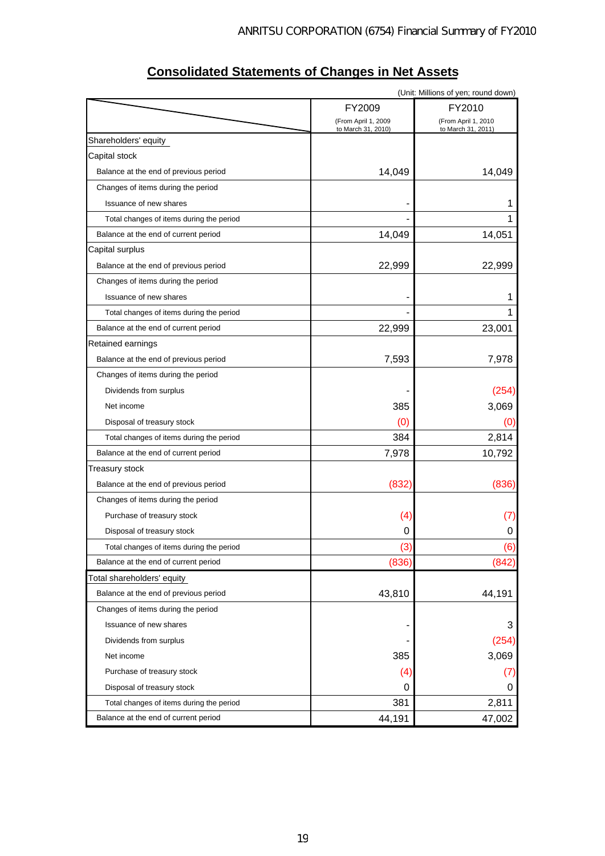|                                          |                                           | (Unit: Millions of yen; round down)       |
|------------------------------------------|-------------------------------------------|-------------------------------------------|
|                                          | FY2009                                    | FY2010                                    |
|                                          | (From April 1, 2009<br>to March 31, 2010) | (From April 1, 2010<br>to March 31, 2011) |
| Shareholders' equity                     |                                           |                                           |
| Capital stock                            |                                           |                                           |
| Balance at the end of previous period    | 14,049                                    | 14,049                                    |
| Changes of items during the period       |                                           |                                           |
| Issuance of new shares                   |                                           | 1                                         |
| Total changes of items during the period |                                           | 1                                         |
| Balance at the end of current period     | 14,049                                    | 14,051                                    |
| Capital surplus                          |                                           |                                           |
| Balance at the end of previous period    | 22,999                                    | 22,999                                    |
| Changes of items during the period       |                                           |                                           |
| Issuance of new shares                   |                                           | 1                                         |
| Total changes of items during the period |                                           | 1                                         |
| Balance at the end of current period     | 22,999                                    | 23,001                                    |
| Retained earnings                        |                                           |                                           |
| Balance at the end of previous period    | 7,593                                     | 7,978                                     |
| Changes of items during the period       |                                           |                                           |
| Dividends from surplus                   |                                           | (254)                                     |
| Net income                               | 385                                       | 3,069                                     |
| Disposal of treasury stock               | (0)                                       | (0)                                       |
| Total changes of items during the period | 384                                       | 2,814                                     |
| Balance at the end of current period     | 7,978                                     | 10,792                                    |
| Treasury stock                           |                                           |                                           |
| Balance at the end of previous period    | (832)                                     | (836)                                     |
| Changes of items during the period       |                                           |                                           |
| Purchase of treasury stock               | (4)                                       | (7)                                       |
| Disposal of treasury stock               | 0                                         | 0                                         |
| Total changes of items during the period | (3)                                       | (6)                                       |
| Balance at the end of current period     | (836)                                     | (842)                                     |
| Total shareholders' equity               |                                           |                                           |
| Balance at the end of previous period    | 43,810                                    | 44,191                                    |
| Changes of items during the period       |                                           |                                           |
| Issuance of new shares                   |                                           | 3                                         |
| Dividends from surplus                   |                                           | (254)                                     |
| Net income                               | 385                                       | 3,069                                     |
| Purchase of treasury stock               | (4)                                       | (7)                                       |
| Disposal of treasury stock               | 0                                         | 0                                         |
| Total changes of items during the period | 381                                       | 2,811                                     |
| Balance at the end of current period     | 44,191                                    | 47,002                                    |
|                                          |                                           |                                           |

## **Consolidated Statements of Changes in Net Assets**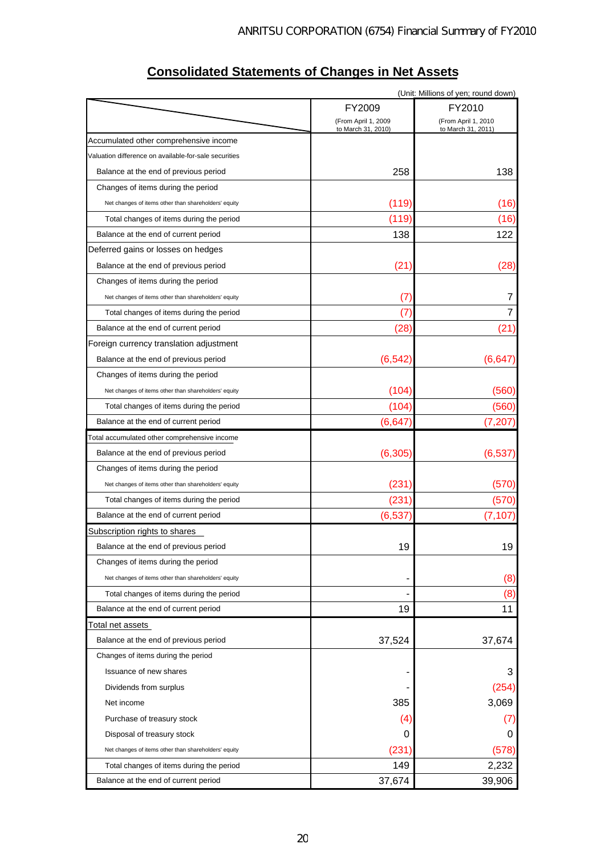|                                                       |                                           | (Unit: Millions of yen; round down)       |
|-------------------------------------------------------|-------------------------------------------|-------------------------------------------|
|                                                       | FY2009                                    | FY2010                                    |
|                                                       | (From April 1, 2009<br>to March 31, 2010) | (From April 1, 2010<br>to March 31, 2011) |
| Accumulated other comprehensive income                |                                           |                                           |
| Valuation difference on available-for-sale securities |                                           |                                           |
| Balance at the end of previous period                 | 258                                       | 138                                       |
| Changes of items during the period                    |                                           |                                           |
| Net changes of items other than shareholders' equity  | (119)                                     | (16)                                      |
| Total changes of items during the period              | (119)                                     | (16)                                      |
| Balance at the end of current period                  | 138                                       | 122                                       |
| Deferred gains or losses on hedges                    |                                           |                                           |
| Balance at the end of previous period                 | (21)                                      | (28)                                      |
| Changes of items during the period                    |                                           |                                           |
| Net changes of items other than shareholders' equity  | (7)                                       | 7                                         |
| Total changes of items during the period              | (7)                                       | $\overline{7}$                            |
| Balance at the end of current period                  | (28)                                      | (21)                                      |
| Foreign currency translation adjustment               |                                           |                                           |
| Balance at the end of previous period                 | (6, 542)                                  | (6, 647)                                  |
| Changes of items during the period                    |                                           |                                           |
| Net changes of items other than shareholders' equity  | (104)                                     | (560)                                     |
| Total changes of items during the period              | (104)                                     | (560)                                     |
| Balance at the end of current period                  | (6, 647)                                  | (7, 207)                                  |
| Total accumulated other comprehensive income          |                                           |                                           |
| Balance at the end of previous period                 | (6, 305)                                  | (6, 537)                                  |
| Changes of items during the period                    |                                           |                                           |
| Net changes of items other than shareholders' equity  | (231)                                     | (570)                                     |
| Total changes of items during the period              | (231)                                     | (570)                                     |
| Balance at the end of current period                  | (6, 537)                                  | (7, 107)                                  |
| Subscription rights to shares                         |                                           |                                           |
| Balance at the end of previous period                 | 19                                        | 19                                        |
| Changes of items during the period                    |                                           |                                           |
| Net changes of items other than shareholders' equity  |                                           | (8)                                       |
| Total changes of items during the period              |                                           | (8)                                       |
| Balance at the end of current period                  | 19                                        | 11                                        |
| otal net assets                                       |                                           |                                           |
| Balance at the end of previous period                 | 37,524                                    | 37,674                                    |
| Changes of items during the period                    |                                           |                                           |
| Issuance of new shares                                |                                           | 3                                         |
| Dividends from surplus                                |                                           | (254)                                     |
| Net income                                            | 385                                       | 3,069                                     |
| Purchase of treasury stock                            | (4)                                       | (7)                                       |
| Disposal of treasury stock                            | 0                                         | 0                                         |
| Net changes of items other than shareholders' equity  | (231)                                     | (578)                                     |
| Total changes of items during the period              | 149                                       | 2,232                                     |
| Balance at the end of current period                  | 37,674                                    | 39,906                                    |

## **Consolidated Statements of Changes in Net Assets**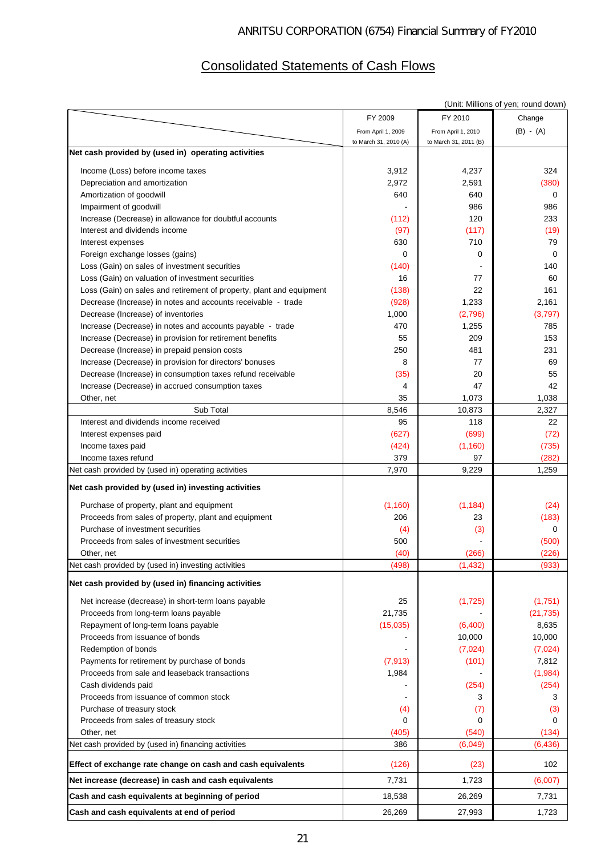# Consolidated Statements of Cash Flows

|                                                                                                          |                       |                       | (Unit: Millions of yen; round down) |
|----------------------------------------------------------------------------------------------------------|-----------------------|-----------------------|-------------------------------------|
|                                                                                                          | FY 2009               | FY 2010               | Change                              |
|                                                                                                          | From April 1, 2009    | From April 1, 2010    | $(B) - (A)$                         |
|                                                                                                          | to March 31, 2010 (A) | to March 31, 2011 (B) |                                     |
| Net cash provided by (used in) operating activities                                                      |                       |                       |                                     |
| Income (Loss) before income taxes                                                                        | 3,912                 | 4,237                 | 324                                 |
| Depreciation and amortization                                                                            | 2,972                 | 2,591                 | (380)                               |
| Amortization of goodwill                                                                                 | 640                   | 640                   | 0                                   |
| Impairment of goodwill                                                                                   |                       | 986                   | 986                                 |
| Increase (Decrease) in allowance for doubtful accounts                                                   | (112)                 | 120                   | 233                                 |
| Interest and dividends income                                                                            | (97)                  | (117)                 | (19)                                |
| Interest expenses                                                                                        | 630                   | 710                   | 79                                  |
| Foreign exchange losses (gains)                                                                          | 0                     | 0                     | 0                                   |
| Loss (Gain) on sales of investment securities                                                            | (140)                 |                       | 140                                 |
| Loss (Gain) on valuation of investment securities                                                        | 16                    | 77                    | 60                                  |
| Loss (Gain) on sales and retirement of property, plant and equipment                                     | (138)                 | 22                    | 161                                 |
| Decrease (Increase) in notes and accounts receivable - trade                                             | (928)                 | 1,233                 | 2,161                               |
| Decrease (Increase) of inventories                                                                       | 1,000                 | (2,796)               | (3,797)                             |
| Increase (Decrease) in notes and accounts payable - trade                                                | 470                   | 1,255                 | 785                                 |
|                                                                                                          | 55                    | 209                   | 153                                 |
| Increase (Decrease) in provision for retirement benefits<br>Decrease (Increase) in prepaid pension costs | 250                   | 481                   | 231                                 |
| Increase (Decrease) in provision for directors' bonuses                                                  | 8                     | 77                    | 69                                  |
| Decrease (Increase) in consumption taxes refund receivable                                               | (35)                  | 20                    | 55                                  |
| Increase (Decrease) in accrued consumption taxes                                                         | 4                     | 47                    | 42                                  |
| Other, net                                                                                               | 35                    | 1,073                 | 1,038                               |
| Sub Total                                                                                                | 8,546                 | 10,873                | 2,327                               |
| Interest and dividends income received                                                                   | 95                    | 118                   | 22                                  |
| Interest expenses paid                                                                                   | (627)                 | (699)                 | (72)                                |
| Income taxes paid                                                                                        | (424)                 | (1, 160)              | (735)                               |
| Income taxes refund                                                                                      | 379                   | 97                    | (282)                               |
| Net cash provided by (used in) operating activities                                                      | 7,970                 | 9,229                 | 1,259                               |
|                                                                                                          |                       |                       |                                     |
| Net cash provided by (used in) investing activities                                                      |                       |                       |                                     |
| Purchase of property, plant and equipment                                                                | (1, 160)              | (1, 184)              | (24)                                |
| Proceeds from sales of property, plant and equipment                                                     | 206                   | 23                    | (183)                               |
| Purchase of investment securities                                                                        | (4)                   | (3)                   | 0                                   |
| Proceeds from sales of investment securities                                                             | 500                   |                       | (500)                               |
| Other, net                                                                                               | (40)                  | (266)                 | (226)                               |
| Net cash provided by (used in) investing activities                                                      | (498)                 | (1, 432)              | (933)                               |
| Net cash provided by (used in) financing activities                                                      |                       |                       |                                     |
|                                                                                                          |                       |                       |                                     |
| Net increase (decrease) in short-term loans payable                                                      | 25                    | (1,725)               | (1,751)                             |
| Proceeds from long-term loans payable                                                                    | 21,735                |                       | (21, 735)                           |
| Repayment of long-term loans payable                                                                     | (15,035)              | (6,400)               | 8,635                               |
| Proceeds from issuance of bonds                                                                          |                       | 10,000                | 10,000                              |
| Redemption of bonds                                                                                      |                       | (7,024)               | (7,024)                             |
| Payments for retirement by purchase of bonds                                                             | (7, 913)              | (101)                 | 7,812                               |
| Proceeds from sale and leaseback transactions                                                            | 1,984                 |                       | (1,984)                             |
| Cash dividends paid                                                                                      |                       | (254)                 | (254)                               |
| Proceeds from issuance of common stock                                                                   |                       | 3                     | 3                                   |
| Purchase of treasury stock                                                                               | (4)                   | (7)                   | (3)                                 |
| Proceeds from sales of treasury stock                                                                    | 0                     | 0                     | 0                                   |
| Other, net                                                                                               | (405)                 | (540)                 | (134)                               |
| Net cash provided by (used in) financing activities                                                      | 386                   | (6,049)               | (6,436)                             |
| Effect of exchange rate change on cash and cash equivalents                                              | (126)                 | (23)                  | 102                                 |
| Net increase (decrease) in cash and cash equivalents                                                     | 7,731                 | 1,723                 | (6,007)                             |
| Cash and cash equivalents at beginning of period                                                         | 18,538                | 26,269                | 7,731                               |
| Cash and cash equivalents at end of period                                                               | 26,269                | 27,993                | 1,723                               |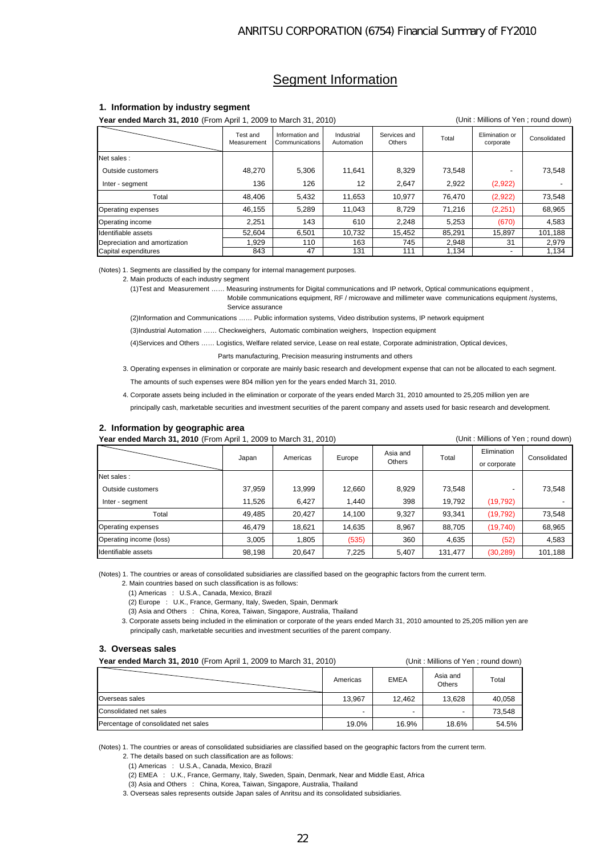## **Segment Information**

#### **1. Information by industry segment**

**Year ended March 31, 2010** (From April 1, 2009 to March 31, 2010) (Unit : Millions of Yen ; round down)

Net sales : Outside customers **1** 48,270 | 5,306 | 11,641 | 8,329 | 73,548 | - 73,548 Inter - segment 136 | 136 | 126 | 126 | 2,647 | 2,922 | (2,922) | -Total 48,406 5,432 11,653 10,977 76,470 (2,922) 73,548 Operating expenses 46,155 5,289 11,043 8,729 71,216 (2,251) 68,965 Operating income 2,251 | 143 | 610 | 2,248 | 5,253 | (670) | 4,583 Identifiable assets | 52,604 | 6,501 | 10,732 | 15,452 | 85,291 | 15,897 | 101,188 Depreciation and amortization 1,929 110 163 745 2,948 31 2,979<br>Capital expenditures 31 31 32,979 1643 47 131 111 1,134 - 1,134 Capital expenditures Services and<br>Others Total Elimination or limination or<br>corporate Consolidated Test and Measurement Information and Communication Industrial Automation

(Notes) 1. Segments are classified by the company for internal management purposes.

2. Main products of each industry segment

 (1)Test and Measurement …… Measuring instruments for Digital communications and IP network, Optical communications equipment , Mobile communications equipment, RF / microwave and millimeter wave communications equipment /systems, Service assurance

(2)Information and Communications …… Public information systems, Video distribution systems, IP network equipment

(3)Industrial Automation …… Checkweighers, Automatic combination weighers, Inspection equipment

(4)Services and Others …… Logistics, Welfare related service, Lease on real estate, Corporate administration, Optical devices,

Parts manufacturing, Precision measuring instruments and others

- 3. Operating expenses in elimination or corporate are mainly basic research and development expense that can not be allocated to each segment. The amounts of such expenses were 804 million yen for the years ended March 31, 2010.
- 4. Corporate assets being included in the elimination or corporate of the years ended March 31, 2010 amounted to 25,205 million yen are

principally cash, marketable securities and investment securities of the parent company and assets used for basic research and development.

### **2. Information by geographic area**

Year ended March 31, 2010 (From April 1, 2009 to March 31, 2010) **Carl Contract Contract Contract Contract Contract Contract Contract Contract Contract Contract Contract Contract Contract Contract Contract Contract Contrac** 

|                         | Japan  | Americas | Europe | Asia and<br><b>Others</b> | Total   | Elimination<br>or corporate | Consolidated |
|-------------------------|--------|----------|--------|---------------------------|---------|-----------------------------|--------------|
| Net sales:              |        |          |        |                           |         |                             |              |
| Outside customers       | 37,959 | 13,999   | 12,660 | 8,929                     | 73,548  |                             | 73,548       |
| Inter - segment         | 11,526 | 6,427    | 1,440  | 398                       | 19,792  | (19, 792)                   |              |
| Total                   | 49,485 | 20,427   | 14,100 | 9,327                     | 93,341  | (19, 792)                   | 73,548       |
| Operating expenses      | 46,479 | 18,621   | 14,635 | 8,967                     | 88,705  | (19,740)                    | 68,965       |
| Operating income (loss) | 3,005  | 1,805    | (535)  | 360                       | 4,635   | (52)                        | 4,583        |
| Identifiable assets     | 98,198 | 20,647   | 7,225  | 5,407                     | 131,477 | (30, 289)                   | 101,188      |

(Notes) 1. The countries or areas of consolidated subsidiaries are classified based on the geographic factors from the current term.

2. Main countries based on such classification is as follows:

(1) Americas : U.S.A., Canada, Mexico, Brazil

(2) Europe : U.K., France, Germany, Italy, Sweden, Spain, Denmark

(3) Asia and Others : China, Korea, Taiwan, Singapore, Australia, Thailand

 3. Corporate assets being included in the elimination or corporate of the years ended March 31, 2010 amounted to 25,205 million yen are principally cash, marketable securities and investment securities of the parent company.

#### **3. Overseas sales**

| <b>Year ended March 31, 2010</b> (From April 1, 2009 to March 31, 2010) |  | (Unit: Millions of Yen: round down) |
|-------------------------------------------------------------------------|--|-------------------------------------|
|                                                                         |  |                                     |

|                                      | Americas | <b>EMEA</b> | Asia and<br><b>Others</b> | Total  |
|--------------------------------------|----------|-------------|---------------------------|--------|
| Overseas sales                       | 13.967   | 12.462      | 13.628                    | 40,058 |
| Consolidated net sales               |          |             |                           | 73.548 |
| Percentage of consolidated net sales | 19.0%    | 16.9%       | 18.6%                     | 54.5%  |

(Notes) 1. The countries or areas of consolidated subsidiaries are classified based on the geographic factors from the current term.

2. The details based on such classification are as follows:

(1) Americas : U.S.A., Canada, Mexico, Brazil

(2) EMEA : U.K., France, Germany, Italy, Sweden, Spain, Denmark, Near and Middle East, Africa

(3) Asia and Others : China, Korea, Taiwan, Singapore, Australia, Thailand

3. Overseas sales represents outside Japan sales of Anritsu and its consolidated subsidiaries.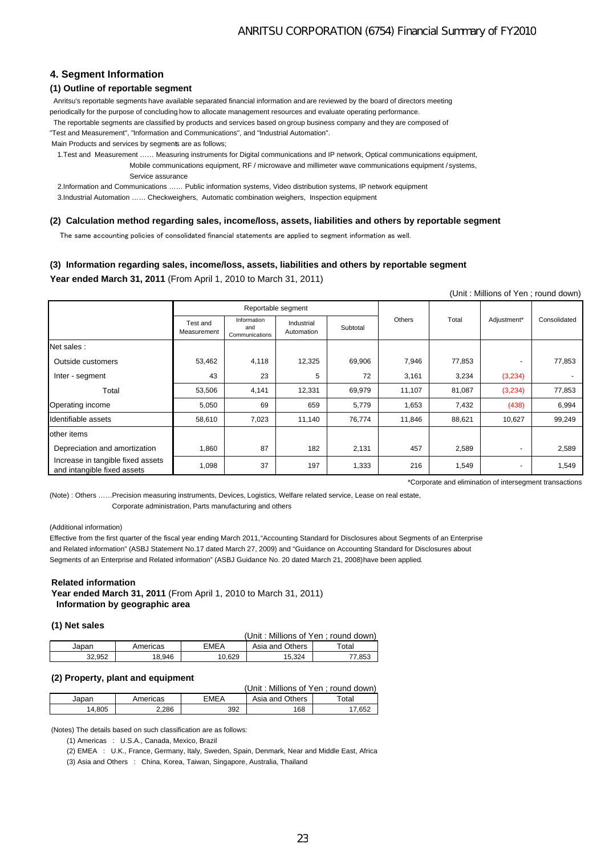### **4. Segment Information**

### **(1) Outline of reportable segment**

 Anritsu's reportable segments have available separated financial information and are reviewed by the board of directors meeting periodically for the purpose of concluding how to allocate management resources and evaluate operating performance.

The reportable segments are classified by products and services based on group business company and they are composed of

"Test and Measurement", "Information and Communications", and "Industrial Automation".

Main Products and services by segments are as follows;

1.Test and Measurement …… Measuring instruments for Digital communications and IP network, Optical communications equipment,

 Mobile communications equipment, RF / microwave and millimeter wave communications equipment / systems, Service assurance

2.Information and Communications …… Public information systems, Video distribution systems, IP network equipment

3.Industrial Automation …… Checkweighers, Automatic combination weighers, Inspection equipment

#### **(2) Calculation method regarding sales, income/loss, assets, liabilities and others by reportable segment**

The same accounting policies of consolidated financial statements are applied to segment information as well.

### **(3) Information regarding sales, income/loss, assets, liabilities and others by reportable segment**

### **Year ended March 31, 2011** (From April 1, 2010 to March 31, 2011)

(Unit : Millions of Yen ; round down)

|                                                                  | Reportable segment      |                                      |                          |          |        |        |                          |              |
|------------------------------------------------------------------|-------------------------|--------------------------------------|--------------------------|----------|--------|--------|--------------------------|--------------|
|                                                                  | Test and<br>Measurement | Information<br>and<br>Communications | Industrial<br>Automation | Subtotal | Others | Total  | Adjustment*              | Consolidated |
| Net sales:                                                       |                         |                                      |                          |          |        |        |                          |              |
| Outside customers                                                | 53,462                  | 4,118                                | 12,325                   | 69,906   | 7,946  | 77,853 | $\overline{a}$           | 77,853       |
| Inter - segment                                                  | 43                      | 23                                   | 5                        | 72       | 3,161  | 3,234  | (3,234)                  |              |
| Total                                                            | 53,506                  | 4,141                                | 12,331                   | 69,979   | 11,107 | 81,087 | (3,234)                  | 77,853       |
| Operating income                                                 | 5,050                   | 69                                   | 659                      | 5,779    | 1,653  | 7,432  | (438)                    | 6,994        |
| Identifiable assets                                              | 58,610                  | 7,023                                | 11,140                   | 76,774   | 11,846 | 88,621 | 10,627                   | 99,249       |
| other items                                                      |                         |                                      |                          |          |        |        |                          |              |
| Depreciation and amortization                                    | 1,860                   | 87                                   | 182                      | 2,131    | 457    | 2,589  | $\overline{\phantom{a}}$ | 2,589        |
| Increase in tangible fixed assets<br>and intangible fixed assets | 1,098                   | 37                                   | 197                      | 1,333    | 216    | 1,549  | $\overline{\phantom{a}}$ | 1,549        |

\*Corporate and elimination of intersegment transactions

(Note) : Others ……Precision measuring instruments, Devices, Logistics, Welfare related service, Lease on real estate, Corporate administration, Parts manufacturing and others

#### (Additional information)

Effective from the first quarter of the fiscal year ending March 2011, "Accounting Standard for Disclosures about Segments of an Enterprise and Related information" (ASBJ Statement No.17 dated March 27, 2009) and "Guidance on Accounting Standard for Disclosures about Segments of an Enterprise and Related information" (ASBJ Guidance No. 20 dated March 21, 2008) have been applied.

#### **Related information**

**Year ended March 31, 2011** (From April 1, 2010 to March 31, 2011)  **Information by geographic area**

#### **(1) Net sales**

|        |          |        | (Unit : Millions of Yen : round down) |             |
|--------|----------|--------|---------------------------------------|-------------|
| Japan  | Americas | EMEA   | Asia and Others                       | $\tau$ otal |
| 32.952 | 18.946   | 10.629 | 15.324                                | 77.853      |

#### **(2) Property, plant and equipment**

|        | (Unit: Millions of Yen: round down) |      |                 |       |  |
|--------|-------------------------------------|------|-----------------|-------|--|
| Japan  | Americas                            | EMEA | Asia and Others | Total |  |
| 14.805 | 2.286                               | 392  | 168             | 7.652 |  |

(Notes) The details based on such classification are as follows:

(1) Americas : U.S.A., Canada, Mexico, Brazil

(2) EMEA : U.K., France, Germany, Italy, Sweden, Spain, Denmark, Near and Middle East, Africa

(3) Asia and Others : China, Korea, Taiwan, Singapore, Australia, Thailand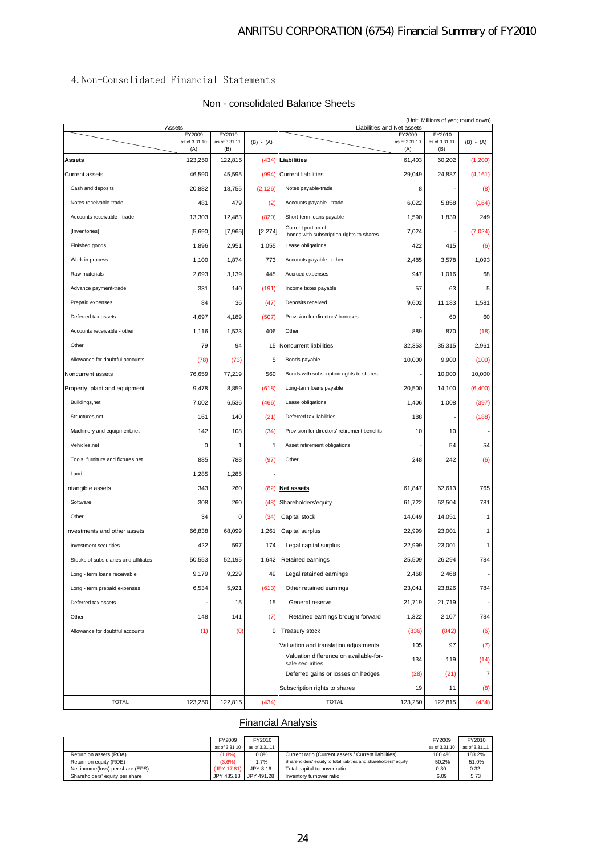### 4.Non-Consolidated Financial Statements

### Non - consolidated Balance Sheets

| Assets                                |                                | (Unit: Millions of yen; round down) |             |                                                                | Liabilities and Net assets     |                                |             |
|---------------------------------------|--------------------------------|-------------------------------------|-------------|----------------------------------------------------------------|--------------------------------|--------------------------------|-------------|
|                                       | FY2009<br>as of 3.31.10<br>(A) | FY2010<br>as of 3.31.11<br>(B)      | $(B) - (A)$ |                                                                | FY2009<br>as of 3.31.10<br>(A) | FY2010<br>as of 3.31.11<br>(B) | $(B) - (A)$ |
| <b>Assets</b>                         | 123,250                        | 122,815                             |             | (434) Liabilities                                              | 61,403                         | 60,202                         | (1,200)     |
| <b>Current assets</b>                 | 46,590                         | 45,595                              |             | (994) Current liabilities                                      | 29,049                         | 24,887                         | (4, 161)    |
| Cash and deposits                     | 20,882                         | 18,755                              | (2, 126)    | Notes payable-trade                                            | 8                              |                                | (8)         |
| Notes receivable-trade                | 481                            | 479                                 | (2)         | Accounts payable - trade                                       | 6,022                          | 5,858                          | (164)       |
| Accounts receivable - trade           | 13,303                         | 12,483                              | (820)       | Short-term loans payable                                       | 1,590                          | 1,839                          | 249         |
| [Inventories]                         | [5,690]                        | [7,965]                             | [2, 274]    | Current portion of<br>bonds with subscription rights to shares | 7,024                          |                                | (7,024)     |
| Finished goods                        | 1,896                          | 2,951                               | 1,055       | Lease obligations                                              | 422                            | 415                            | (6)         |
| Work in process                       | 1,100                          | 1,874                               | 773         | Accounts payable - other                                       | 2,485                          | 3,578                          | 1,093       |
| Raw materials                         | 2,693                          | 3,139                               | 445         | Accrued expenses                                               | 947                            | 1,016                          | 68          |
| Advance payment-trade                 | 331                            | 140                                 | (191)       | Income taxes payable                                           | 57                             | 63                             | 5           |
| Prepaid expenses                      | 84                             | 36                                  | (47)        | Deposits received                                              | 9,602                          | 11,183                         | 1,581       |
| Deferred tax assets                   | 4,697                          | 4,189                               | (507)       | Provision for directors' bonuses                               |                                | 60                             | 60          |
| Accounts receivable - other           | 1,116                          | 1,523                               | 406         | Other                                                          | 889                            | 870                            | (18)        |
| Other                                 | 79                             | 94                                  | 15          | Noncurrent liabilities                                         | 32,353                         | 35,315                         | 2,961       |
| Allowance for doubtful accounts       | (78)                           | (73)                                | 5           | Bonds payable                                                  | 10,000                         | 9,900                          | (100)       |
| Noncurrent assets                     | 76,659                         | 77,219                              | 560         | Bonds with subscription rights to shares                       |                                | 10,000                         | 10,000      |
| Property, plant and equipment         | 9,478                          | 8,859                               | (618)       | Long-term loans payable                                        | 20,500                         | 14,100                         | (6,400)     |
| Buildings, net                        | 7,002                          | 6,536                               | (466)       | Lease obligations                                              | 1,406                          | 1,008                          | (397)       |
| Structures, net                       | 161                            | 140                                 | (21)        | Deferred tax liabilities                                       | 188                            |                                | (188)       |
| Machinery and equipment, net          | 142                            | 108                                 | (34)        | Provision for directors' retirement benefits                   | 10                             | 10                             |             |
| Vehicles, net                         | 0                              | 1                                   | 1           | Asset retirement obligations                                   |                                | 54                             | 54          |
| Tools, furniture and fixtures, net    | 885                            | 788                                 | (97)        | Other                                                          | 248                            | 242                            | (6)         |
| Land                                  | 1,285                          | 1,285                               |             |                                                                |                                |                                |             |
| Intangible assets                     | 343                            | 260                                 |             | (82) Net assets                                                | 61,847                         | 62,613                         | 765         |
| Software                              | 308                            | 260                                 | (48)        | Shareholders'equity                                            | 61,722                         | 62,504                         | 781         |
| Other                                 | 34                             | 0                                   | (34)        | Capital stock                                                  | 14,049                         | 14,051                         | 1           |
| Investments and other assets          | 66,838                         | 68,099                              | 1,261       | Capital surplus                                                | 22,999                         | 23,001                         | 1           |
| Investment securities                 | 422                            | 597                                 | 174         | Legal capital surplus                                          | 22,999                         | 23,001                         | 1           |
| Stocks of subsidiaries and affiliates | 50,553                         | 52.195                              | 1,642       | Retained earnings                                              | 25,509                         | 26,294                         | 784         |
| Long - term loans receivable          | 9,179                          | 9,229                               | 49          | Legal retained earnings                                        | 2,468                          | 2,468                          |             |
| Long - term prepaid expenses          | 6,534                          | 5,921                               | (613)       | Other retained earnings                                        | 23,041                         | 23,826                         | 784         |
| Deferred tax assets                   |                                | 15                                  | 15          | General reserve                                                | 21,719                         | 21,719                         |             |
| Other                                 | 148                            | 141                                 | (7)         | Retained earnings brought forward                              | 1,322                          | 2,107                          | 784         |
| Allowance for doubtful accounts       | (1)                            | (0)                                 | $\circ$     | Treasury stock                                                 | (836)                          | (842)                          | (6)         |
|                                       |                                |                                     |             | Valuation and translation adjustments                          | 105                            | 97                             | (7)         |
|                                       |                                |                                     |             | Valuation difference on available-for-<br>sale securities      | 134                            | 119                            | (14)        |
|                                       |                                |                                     |             | Deferred gains or losses on hedges                             | (28)                           | (21)                           | 7           |
|                                       |                                |                                     |             | Subscription rights to shares                                  | 19                             | 11                             | (8)         |
| <b>TOTAL</b>                          | 123,250                        | 122,815                             | (434)       | <b>TOTAL</b>                                                   | 123,250                        | 122,815                        | (434)       |

### **Financial Analysis**

|                                  | FY2009        | FY2010                |                                                                  | FY2009        | FY2010        |
|----------------------------------|---------------|-----------------------|------------------------------------------------------------------|---------------|---------------|
|                                  | as of 3.31.10 | as of 3.31.11         |                                                                  | as of 3.31.10 | as of 3.31.11 |
| Return on assets (ROA)           | $(1.8\%)$     | 0.8%                  | Current ratio (Current assets / Current liabilities)             | 160.4%        | 183.2%        |
| Return on equity (ROE)           | (3.6%)        | 1.7%                  | Shareholders' equity to total liabities and shareholders' equity | 50.2%         | 51.0%         |
| Net income(loss) per share (EPS) | (JPY 17.81)   | JPY 8.16              | Total capital turnover ratio                                     | 0.30          | 0.32          |
| Shareholders' equity per share   |               | JPY 485.18 JPY 491.28 | Inventory turnover ratio                                         | 6.09          | 5.73          |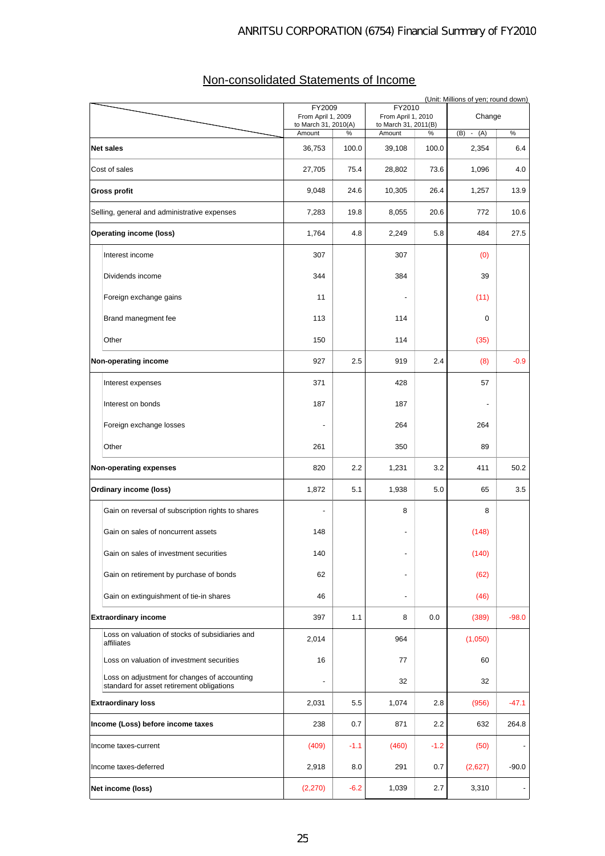|                           | (Unit: Millions of yen; round down)                                                       |                                                      |        |                                                      |        |             |         |  |
|---------------------------|-------------------------------------------------------------------------------------------|------------------------------------------------------|--------|------------------------------------------------------|--------|-------------|---------|--|
|                           |                                                                                           | FY2009<br>From April 1, 2009<br>to March 31, 2010(A) |        | FY2010<br>From April 1, 2010<br>to March 31, 2011(B) |        | Change      |         |  |
|                           |                                                                                           | Amount                                               | %      | Amount                                               | %      | $(B) - (A)$ | %       |  |
|                           | <b>Net sales</b>                                                                          | 36,753                                               | 100.0  | 39,108                                               | 100.0  | 2,354       | 6.4     |  |
|                           | Cost of sales                                                                             | 27,705                                               | 75.4   | 28,802                                               | 73.6   | 1,096       | 4.0     |  |
|                           | Gross profit                                                                              | 9,048                                                | 24.6   | 10,305                                               | 26.4   | 1,257       | 13.9    |  |
|                           | Selling, general and administrative expenses                                              | 7,283                                                | 19.8   | 8,055                                                | 20.6   | 772         | 10.6    |  |
|                           | <b>Operating income (loss)</b>                                                            | 1,764                                                | 4.8    | 2,249                                                | 5.8    | 484         | 27.5    |  |
|                           | Interest income                                                                           | 307                                                  |        | 307                                                  |        | (0)         |         |  |
|                           | Dividends income                                                                          | 344                                                  |        | 384                                                  |        | 39          |         |  |
|                           | Foreign exchange gains                                                                    | 11                                                   |        |                                                      |        | (11)        |         |  |
|                           | Brand manegment fee                                                                       | 113                                                  |        | 114                                                  |        | $\mathbf 0$ |         |  |
|                           | Other                                                                                     | 150                                                  |        | 114                                                  |        | (35)        |         |  |
|                           | Non-operating income                                                                      | 927                                                  | 2.5    | 919                                                  | 2.4    | (8)         | $-0.9$  |  |
|                           | Interest expenses                                                                         | 371                                                  |        | 428                                                  |        | 57          |         |  |
|                           | Interest on bonds                                                                         | 187                                                  |        | 187                                                  |        |             |         |  |
|                           | Foreign exchange losses                                                                   |                                                      |        | 264                                                  |        | 264         |         |  |
|                           | Other                                                                                     | 261                                                  |        | 350                                                  |        | 89          |         |  |
|                           | Non-operating expenses                                                                    | 820                                                  | 2.2    | 1,231                                                | 3.2    | 411         | 50.2    |  |
|                           | <b>Ordinary income (loss)</b>                                                             | 1,872                                                | 5.1    | 1,938                                                | 5.0    | 65          | 3.5     |  |
|                           | Gain on reversal of subscription rights to shares                                         |                                                      |        | 8                                                    |        | 8           |         |  |
|                           | Gain on sales of noncurrent assets                                                        | 148                                                  |        |                                                      |        | (148)       |         |  |
|                           | Gain on sales of investment securities                                                    | 140                                                  |        |                                                      |        | (140)       |         |  |
|                           | Gain on retirement by purchase of bonds                                                   | 62                                                   |        |                                                      |        | (62)        |         |  |
|                           | Gain on extinguishment of tie-in shares                                                   | 46                                                   |        | $\frac{1}{2}$                                        |        | (46)        |         |  |
|                           | <b>Extraordinary income</b>                                                               | 397                                                  | 1.1    | 8                                                    | 0.0    | (389)       | $-98.0$ |  |
|                           | Loss on valuation of stocks of subsidiaries and<br>affiliates                             | 2,014                                                |        | 964                                                  |        | (1,050)     |         |  |
|                           | Loss on valuation of investment securities                                                | 16                                                   |        | 77                                                   |        | 60          |         |  |
|                           | Loss on adjustment for changes of accounting<br>standard for asset retirement obligations | $\frac{1}{2}$                                        |        | 32                                                   |        | 32          |         |  |
| <b>Extraordinary loss</b> |                                                                                           | 2,031                                                | 5.5    | 1,074                                                | 2.8    | (956)       | $-47.1$ |  |
|                           | Income (Loss) before income taxes                                                         | 238                                                  | 0.7    | 871                                                  | 2.2    | 632         | 264.8   |  |
|                           | Income taxes-current                                                                      | (409)                                                | $-1.1$ | (460)                                                | $-1.2$ | (50)        |         |  |
|                           | Income taxes-deferred                                                                     | 2,918                                                | 8.0    | 291                                                  | 0.7    | (2,627)     | $-90.0$ |  |
|                           | Net income (loss)                                                                         | (2, 270)                                             | $-6.2$ | 1,039                                                | 2.7    | 3,310       |         |  |

## Non-consolidated Statements of Income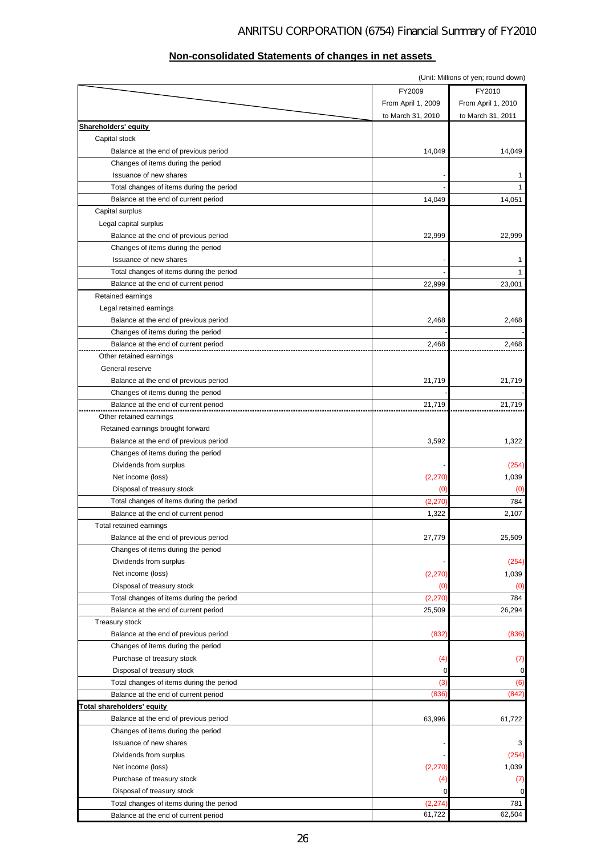### (Unit: Millions of yen; round down) FY2009 FY2010 From April 1, 2009 From April 1, 2010 to March 31, 2010 to March 31, 2011 **Shareholders' equity**  Capital stock Balance at the end of previous period 14,049 14,049 14,049 14,049 14,049 14,049 14,049 14,049 14,049 Changes of items during the period Issuance of new shares 4 and 1 and 1 and 1 and 1 and 1 and 1 and 1 and 1 and 1 and 1 and 1 and 1 and 1 and 1 and 1 and 1 and 1 and 1 and 1 and 1 and 1 and 1 and 1 and 1 and 1 and 1 and 1 and 1 and 1 and 1 and 1 and 1 and 1 Total changes of items during the period and the state of the 1 minutes of the 1 minutes of the 1 minutes of the 1 minutes of the 1 minutes of the 1 minutes of the 1 minutes of the 1 minutes of the 1 minutes of the 1 minut Balance at the end of current period 14,051 14,051 14,051 14,051 14,051 14,051 14,051 14,051 14,051 14,051 14,051 Capital surplus Legal capital surplus Balance at the end of previous period **22,999** 22,999 22,999 22,999 22,999 22,999 22,999 22,999 22,999 22,999 22,999 22,999 22,999 22,999 22,999 22,999 22,999 22,999 22,999 22,999 22,999 22,999 22,999 22,999 22,999 22,999 Changes of items during the period Issuance of new shares **1** Total changes of items during the period 1 and 1 and 1 and 1 and 1 and 1 and 1 and 1 and 1 and 1 and 1 and 1 and 1 and 1 and 1 and 1 and 1 and 1 and 1 and 1 and 1 and 1 and 1 and 1 and 1 and 1 and 1 and 1 and 1 and 1 and 1 Balance at the end of current period 23,001 22,999 23,001 Retained earnings Legal retained earnings Balance at the end of previous period **2.468** 2.468 2.468 2.468 2.468 2.468 2.468 2.468 2.468 2.468 2.468 2.468 2.468 2.468 2.468 2.468 2.468 2.468 2.468 2.468 2.468 2.468 2.468 2.468 2.468 2.468 2.468 2.468 2.468 2.468 2. Changes of items during the period Balance at the end of current period 2,468 2,468 2,468 2,468 2,468 2,468 2,468 2,468 2,468 2,468 2,468 2,468 2,5  $\frac{2,468}{2,468}$  Other retained earnings General reserve Balance at the end of previous period 21,719 21,719 21,719 Changes of items during the period Balance at the end of current period 21,719 21,719 21,719 Other retained earnings Retained earnings brought forward Balance at the end of previous period 3,592 1,322 Changes of items during the period Dividends from surplus and the contract of the contract of the contract of the contract of the contract of the contract of the contract of the contract of the contract of the contract of the contract of the contract of the Net income (loss) 1,039 Disposal of treasury stock (0) (0) Total changes of items during the period and the control of the control of the control of the control of the control of the control of the control of the control of the control of the control of the control of the control Balance at the end of current period 1,322 2,107 Total retained earnings Balance at the end of previous period 25,509 Changes of items during the period Dividends from surplus  $(254)$ Net income (loss) 1,039 Disposal of treasury stock (0) (0) Total changes of items during the period  $(2,270)$  784 Balance at the end of current period 26,294 Treasury stock Balance at the end of previous period (832) (836) Changes of items during the period Purchase of treasury stock (4) (7) Disposal of treasury stock 0 0 Total changes of items during the period (3) (6) Balance at the end of current period (842) (842) **Total shareholders' equity**  Balance at the end of previous period 63,996 61,722 Changes of items during the period Issuance of new shares  $\overline{3}$ Dividends from surplus  $(254)$ Net income (loss) 1,039 Purchase of treasury stock (4) (7) Disposal of treasury stock and the control of the control of the control of the control of the control of the control of the control of the control of the control of the control of the control of the control of the control Total changes of items during the period and the control of the control of the control of the control of the control of the control of the control of the control of the control of the control of the control of the control

### **Non-consolidated Statements of changes in net assets**

Balance at the end of current period 62,504 62,504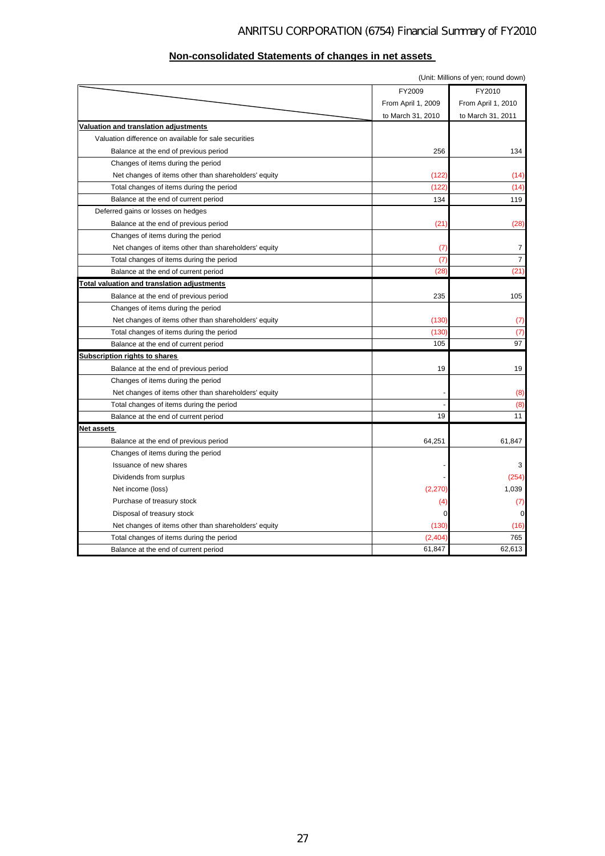| Non-consolidated Statements of changes in net assets |
|------------------------------------------------------|
|------------------------------------------------------|

| (Unit: Millions of yen; round down)                   |                    |                    |  |  |  |
|-------------------------------------------------------|--------------------|--------------------|--|--|--|
|                                                       | FY2009             | FY2010             |  |  |  |
|                                                       | From April 1, 2009 | From April 1, 2010 |  |  |  |
|                                                       | to March 31, 2010  | to March 31, 2011  |  |  |  |
| Valuation and translation adjustments                 |                    |                    |  |  |  |
| Valuation difference on available for sale securities |                    |                    |  |  |  |
| Balance at the end of previous period                 | 256                | 134                |  |  |  |
| Changes of items during the period                    |                    |                    |  |  |  |
| Net changes of items other than shareholders' equity  | (122)              | (14)               |  |  |  |
| Total changes of items during the period              | (122)              | (14)               |  |  |  |
| Balance at the end of current period                  | 134                | 119                |  |  |  |
| Deferred gains or losses on hedges                    |                    |                    |  |  |  |
| Balance at the end of previous period                 | (21)               | (28)               |  |  |  |
| Changes of items during the period                    |                    |                    |  |  |  |
| Net changes of items other than shareholders' equity  | (7)                | $\overline{7}$     |  |  |  |
| Total changes of items during the period              | (7)                | $\overline{7}$     |  |  |  |
| Balance at the end of current period                  | (28)               | (21)               |  |  |  |
| <b>Total valuation and translation adjustments</b>    |                    |                    |  |  |  |
| Balance at the end of previous period                 | 235                | 105                |  |  |  |
| Changes of items during the period                    |                    |                    |  |  |  |
| Net changes of items other than shareholders' equity  | (130)              | (7)                |  |  |  |
| Total changes of items during the period              | (130)              | (7)                |  |  |  |
| Balance at the end of current period                  | 105                | 97                 |  |  |  |
| Subscription rights to shares                         |                    |                    |  |  |  |
| Balance at the end of previous period                 | 19                 | 19                 |  |  |  |
| Changes of items during the period                    |                    |                    |  |  |  |
| Net changes of items other than shareholders' equity  |                    | (8)                |  |  |  |
| Total changes of items during the period              |                    | (8)                |  |  |  |
| Balance at the end of current period                  | 19                 | 11                 |  |  |  |
| Net assets                                            |                    |                    |  |  |  |
| Balance at the end of previous period                 | 64,251             | 61,847             |  |  |  |
| Changes of items during the period                    |                    |                    |  |  |  |
| Issuance of new shares                                |                    | 3                  |  |  |  |
| Dividends from surplus                                |                    | (254)              |  |  |  |
| Net income (loss)                                     | (2, 270)           | 1,039              |  |  |  |
| Purchase of treasury stock                            | (4)                | (7)                |  |  |  |
| Disposal of treasury stock                            | 0                  | 0                  |  |  |  |
| Net changes of items other than shareholders' equity  | (130)              | (16)               |  |  |  |
| Total changes of items during the period              | (2, 404)           | 765                |  |  |  |
| Balance at the end of current period                  | 61,847             | 62,613             |  |  |  |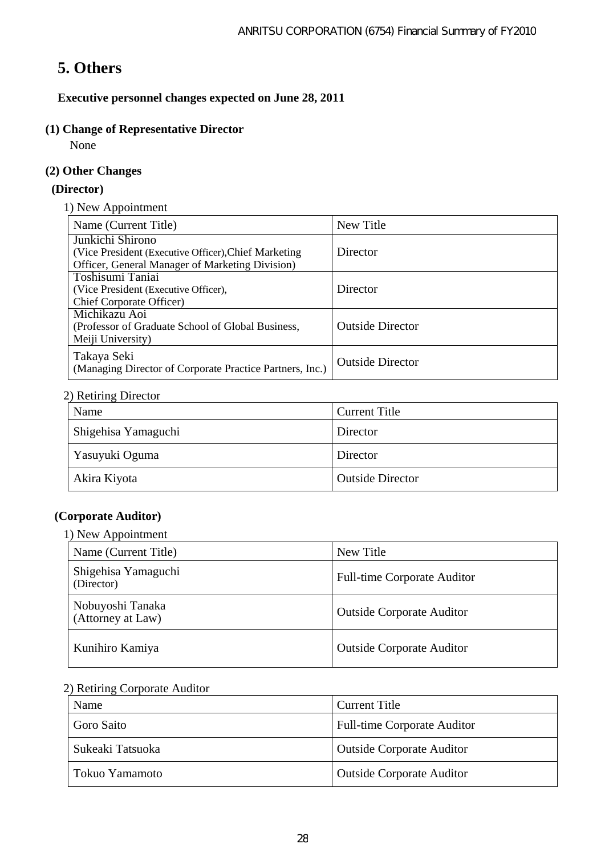# **5. Others**

**Executive personnel changes expected on June 28, 2011** 

## **(1) Change of Representative Director**

None

## **(2) Other Changes**

## **(Director)**

1) New Appointment

| Name (Current Title)                                                    | New Title               |
|-------------------------------------------------------------------------|-------------------------|
| Junkichi Shirono                                                        |                         |
| (Vice President (Executive Officer), Chief Marketing                    | Director                |
| Officer, General Manager of Marketing Division)                         |                         |
| Toshisumi Taniai                                                        |                         |
| (Vice President (Executive Officer),                                    | Director                |
| <b>Chief Corporate Officer</b> )                                        |                         |
| Michikazu Aoi                                                           |                         |
| (Professor of Graduate School of Global Business,                       | <b>Outside Director</b> |
| Meiji University)                                                       |                         |
| Takaya Seki<br>(Managing Director of Corporate Practice Partners, Inc.) | <b>Outside Director</b> |

## 2) Retiring Director

| Name                | <b>Current Title</b>    |
|---------------------|-------------------------|
| Shigehisa Yamaguchi | Director                |
| Yasuyuki Oguma      | Director                |
| Akira Kiyota        | <b>Outside Director</b> |

## **(Corporate Auditor)**

1) New Appointment

| Name (Current Title)                  | New Title                          |
|---------------------------------------|------------------------------------|
| Shigehisa Yamaguchi<br>(Director)     | <b>Full-time Corporate Auditor</b> |
| Nobuyoshi Tanaka<br>(Attorney at Law) | <b>Outside Corporate Auditor</b>   |
| Kunihiro Kamiya                       | <b>Outside Corporate Auditor</b>   |

## 2) Retiring Corporate Auditor

| Name             | <b>Current Title</b>               |
|------------------|------------------------------------|
| Goro Saito       | <b>Full-time Corporate Auditor</b> |
| Sukeaki Tatsuoka | <b>Outside Corporate Auditor</b>   |
| Tokuo Yamamoto   | <b>Outside Corporate Auditor</b>   |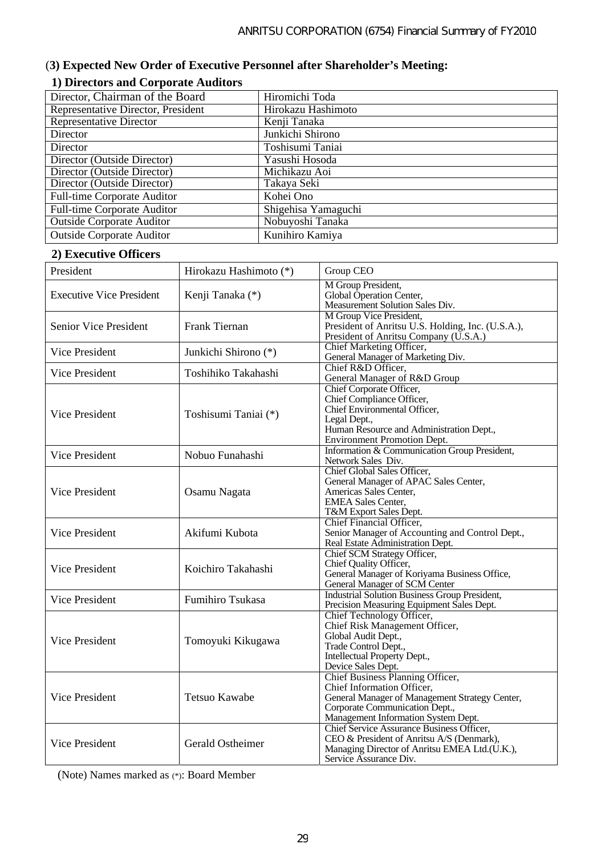## (**3) Expected New Order of Executive Personnel after Shareholder's Meeting:**

## **1) Directors and Corporate Auditors**

| Director, Chairman of the Board    | Hiromichi Toda      |
|------------------------------------|---------------------|
| Representative Director, President | Hirokazu Hashimoto  |
| <b>Representative Director</b>     | Kenji Tanaka        |
| Director                           | Junkichi Shirono    |
| Director                           | Toshisumi Taniai    |
| Director (Outside Director)        | Yasushi Hosoda      |
| Director (Outside Director)        | Michikazu Aoi       |
| Director (Outside Director)        | Takaya Seki         |
| Full-time Corporate Auditor        | Kohei Ono           |
| Full-time Corporate Auditor        | Shigehisa Yamaguchi |
| <b>Outside Corporate Auditor</b>   | Nobuyoshi Tanaka    |
| <b>Outside Corporate Auditor</b>   | Kunihiro Kamiya     |

## **2) Executive Officers**

| President                       | Hirokazu Hashimoto (*) | Group CEO                                                                                                                                                                                 |
|---------------------------------|------------------------|-------------------------------------------------------------------------------------------------------------------------------------------------------------------------------------------|
| <b>Executive Vice President</b> | Kenji Tanaka (*)       | M Group President,<br>Global Operation Center,<br>Measurement Solution Sales Div.                                                                                                         |
| Senior Vice President           | Frank Tiernan          | M Group Vice President,<br>President of Anritsu U.S. Holding, Inc. (U.S.A.),<br>President of Anritsu Company (U.S.A.)                                                                     |
| Vice President                  | Junkichi Shirono (*)   | Chief Marketing Officer,<br>General Manager of Marketing Div.                                                                                                                             |
| Vice President                  | Toshihiko Takahashi    | Chief R&D Officer.<br>General Manager of R&D Group                                                                                                                                        |
| Vice President                  | Toshisumi Taniai (*)   | Chief Corporate Officer,<br>Chief Compliance Officer,<br>Chief Environmental Officer,<br>Legal Dept.,<br>Human Resource and Administration Dept.,<br><b>Environment Promotion Dept.</b>   |
| Vice President                  | Nobuo Funahashi        | Information & Communication Group President,<br>Network Sales Div.                                                                                                                        |
| Vice President                  | Osamu Nagata           | Chief Global Sales Officer,<br>General Manager of APAC Sales Center,<br>Americas Sales Center,<br><b>EMEA Sales Center.</b><br>T&M Export Sales Dept.                                     |
| Vice President                  | Akifumi Kubota         | Chief Financial Officer,<br>Senior Manager of Accounting and Control Dept.,<br>Real Estate Administration Dept.                                                                           |
| Vice President                  | Koichiro Takahashi     | Chief SCM Strategy Officer,<br>Chief Quality Officer,<br>General Manager of Koriyama Business Office,<br>General Manager of SCM Center                                                    |
| Vice President                  | Fumihiro Tsukasa       | <b>Industrial Solution Business Group President,</b><br>Precision Measuring Equipment Sales Dept.                                                                                         |
| Vice President                  | Tomoyuki Kikugawa      | Chief Technology Officer,<br>Chief Risk Management Officer,<br>Global Audit Dept.,<br>Trade Control Dept.,<br>Intellectual Property Dept.,<br>Device Sales Dept.                          |
| Vice President                  | <b>Tetsuo Kawabe</b>   | Chief Business Planning Officer,<br>Chief Information Officer,<br>General Manager of Management Strategy Center,<br>Corporate Communication Dept.,<br>Management Information System Dept. |
| Vice President                  | Gerald Ostheimer       | <b>Chief Service Assurance Business Officer,</b><br>CEO & President of Anritsu A/S (Denmark),<br>Managing Director of Anritsu EMEA Ltd.(U.K.),<br>Service Assurance Div.                  |

(Note) Names marked as (\*): Board Member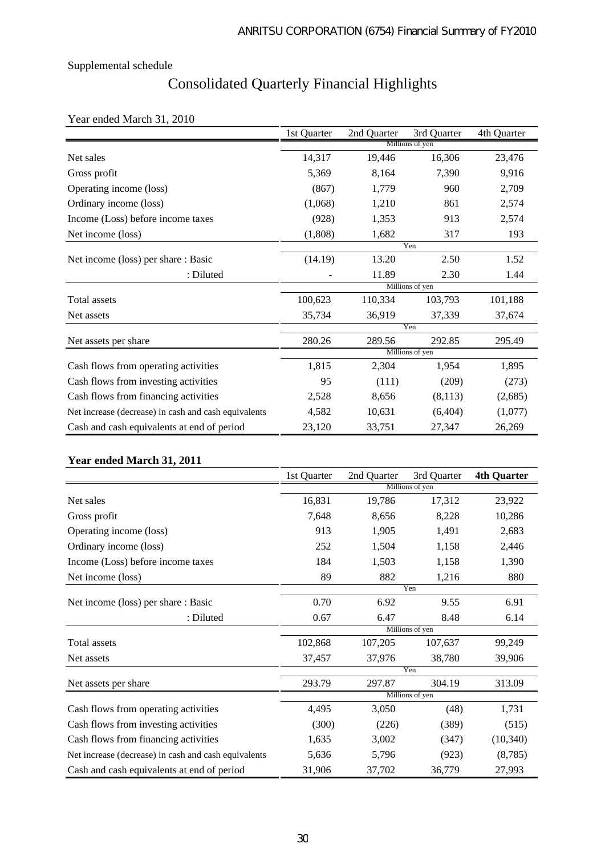# Consolidated Quarterly Financial Highlights

## Year ended March 31, 2010

|                                                      | 1st Quarter     | 2nd Quarter | 3rd Quarter     | 4th Quarter |
|------------------------------------------------------|-----------------|-------------|-----------------|-------------|
|                                                      | Millions of yen |             |                 |             |
| Net sales                                            | 14,317          | 19,446      | 16,306          | 23,476      |
| Gross profit                                         | 5,369           | 8,164       | 7,390           | 9,916       |
| Operating income (loss)                              | (867)           | 1,779       | 960             | 2,709       |
| Ordinary income (loss)                               | (1,068)         | 1,210       | 861             | 2,574       |
| Income (Loss) before income taxes                    | (928)           | 1,353       | 913             | 2,574       |
| Net income (loss)                                    | (1,808)         | 1,682       | 317             | 193         |
|                                                      | Yen             |             |                 |             |
| Net income (loss) per share: Basic                   | (14.19)         | 13.20       | 2.50            | 1.52        |
| : Diluted                                            |                 | 11.89       | 2.30            | 1.44        |
|                                                      |                 |             | Millions of yen |             |
| Total assets                                         | 100,623         | 110,334     | 103,793         | 101,188     |
| Net assets                                           | 35,734          | 36,919      | 37,339          | 37,674      |
|                                                      |                 |             | Yen             |             |
| Net assets per share                                 | 280.26          | 289.56      | 292.85          | 295.49      |
|                                                      |                 |             | Millions of yen |             |
| Cash flows from operating activities                 | 1,815           | 2,304       | 1,954           | 1,895       |
| Cash flows from investing activities                 | 95              | (111)       | (209)           | (273)       |
| Cash flows from financing activities                 | 2,528           | 8,656       | (8,113)         | (2,685)     |
| Net increase (decrease) in cash and cash equivalents | 4,582           | 10,631      | (6,404)         | (1,077)     |
| Cash and cash equivalents at end of period           | 23,120          | 33,751      | 27,347          | 26,269      |

### **Year ended March 31, 2011**

|                                                      | 1st Quarter     | 2nd Quarter | 3rd Quarter     | <b>4th Quarter</b> |
|------------------------------------------------------|-----------------|-------------|-----------------|--------------------|
|                                                      | Millions of yen |             |                 |                    |
| Net sales                                            | 16,831          | 19,786      | 17,312          | 23,922             |
| Gross profit                                         | 7,648           | 8,656       | 8,228           | 10,286             |
| Operating income (loss)                              | 913             | 1,905       | 1,491           | 2,683              |
| Ordinary income (loss)                               | 252             | 1,504       | 1,158           | 2,446              |
| Income (Loss) before income taxes                    | 184             | 1,503       | 1,158           | 1,390              |
| Net income (loss)                                    | 89              | 882         | 1,216           | 880                |
|                                                      |                 |             | Yen             |                    |
| Net income (loss) per share : Basic                  | 0.70            | 6.92        | 9.55            | 6.91               |
| : Diluted                                            | 0.67            | 6.47        | 8.48            | 6.14               |
|                                                      |                 |             | Millions of yen |                    |
| Total assets                                         | 102,868         | 107,205     | 107,637         | 99,249             |
| Net assets                                           | 37,457          | 37,976      | 38,780          | 39,906             |
|                                                      |                 |             | Yen             |                    |
| Net assets per share                                 | 293.79          | 297.87      | 304.19          | 313.09             |
|                                                      |                 |             | Millions of yen |                    |
| Cash flows from operating activities                 | 4,495           | 3,050       | (48)            | 1,731              |
| Cash flows from investing activities                 | (300)           | (226)       | (389)           | (515)              |
| Cash flows from financing activities                 | 1,635           | 3,002       | (347)           | (10, 340)          |
| Net increase (decrease) in cash and cash equivalents | 5,636           | 5,796       | (923)           | (8,785)            |
| Cash and cash equivalents at end of period           | 31,906          | 37,702      | 36,779          | 27,993             |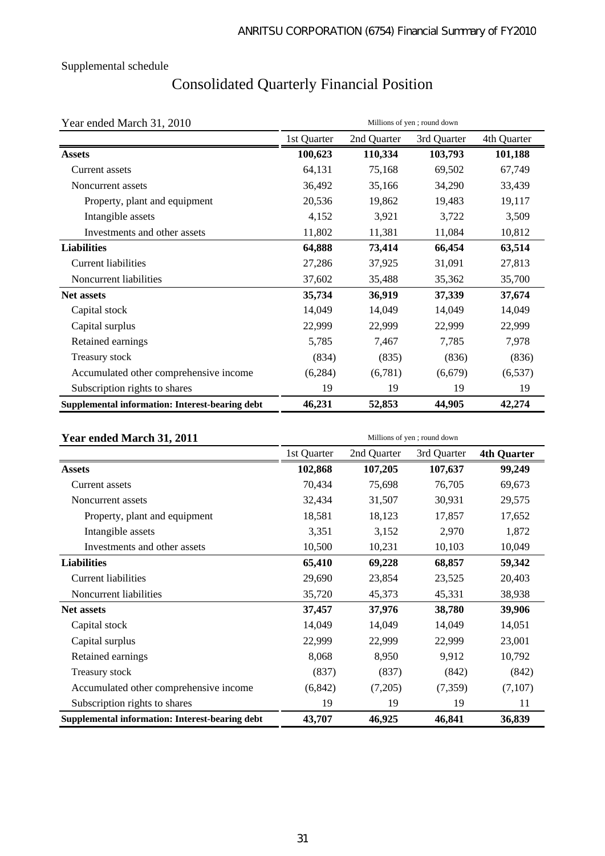# Consolidated Quarterly Financial Position

Year ended March 31, 2010 Millions of yen ; round down

|                                                 | 1st Quarter | 2nd Quarter | 3rd Quarter | 4th Quarter |
|-------------------------------------------------|-------------|-------------|-------------|-------------|
| <b>Assets</b>                                   | 100,623     | 110,334     | 103,793     | 101,188     |
| Current assets                                  | 64,131      | 75,168      | 69,502      | 67,749      |
| Noncurrent assets                               | 36,492      | 35,166      | 34,290      | 33,439      |
| Property, plant and equipment                   | 20,536      | 19,862      | 19,483      | 19,117      |
| Intangible assets                               | 4,152       | 3,921       | 3,722       | 3,509       |
| Investments and other assets                    | 11,802      | 11,381      | 11,084      | 10,812      |
| <b>Liabilities</b>                              | 64,888      | 73,414      | 66,454      | 63,514      |
| <b>Current liabilities</b>                      | 27,286      | 37,925      | 31,091      | 27,813      |
| Noncurrent liabilities                          | 37,602      | 35,488      | 35,362      | 35,700      |
| Net assets                                      | 35,734      | 36,919      | 37,339      | 37,674      |
| Capital stock                                   | 14,049      | 14,049      | 14,049      | 14,049      |
| Capital surplus                                 | 22,999      | 22,999      | 22,999      | 22,999      |
| Retained earnings                               | 5,785       | 7,467       | 7,785       | 7,978       |
| Treasury stock                                  | (834)       | (835)       | (836)       | (836)       |
| Accumulated other comprehensive income          | (6,284)     | (6,781)     | (6,679)     | (6, 537)    |
| Subscription rights to shares                   | 19          | 19          | 19          | 19          |
| Supplemental information: Interest-bearing debt | 46,231      | 52,853      | 44,905      | 42,274      |

| Year ended March 31, 2011                       | Millions of yen; round down |             |             |                    |
|-------------------------------------------------|-----------------------------|-------------|-------------|--------------------|
|                                                 | 1st Quarter                 | 2nd Quarter | 3rd Quarter | <b>4th Quarter</b> |
| <b>Assets</b>                                   | 102,868                     | 107,205     | 107,637     | 99,249             |
| Current assets                                  | 70,434                      | 75,698      | 76,705      | 69,673             |
| Noncurrent assets                               | 32,434                      | 31,507      | 30,931      | 29,575             |
| Property, plant and equipment                   | 18,581                      | 18,123      | 17,857      | 17,652             |
| Intangible assets                               | 3,351                       | 3,152       | 2,970       | 1,872              |
| Investments and other assets                    | 10,500                      | 10,231      | 10,103      | 10,049             |
| <b>Liabilities</b>                              | 65,410                      | 69,228      | 68,857      | 59,342             |
| <b>Current liabilities</b>                      | 29,690                      | 23,854      | 23,525      | 20,403             |
| Noncurrent liabilities                          | 35,720                      | 45,373      | 45,331      | 38,938             |
| <b>Net assets</b>                               | 37,457                      | 37,976      | 38,780      | 39,906             |
| Capital stock                                   | 14,049                      | 14,049      | 14,049      | 14,051             |
| Capital surplus                                 | 22,999                      | 22,999      | 22,999      | 23,001             |
| Retained earnings                               | 8,068                       | 8,950       | 9,912       | 10,792             |
| Treasury stock                                  | (837)                       | (837)       | (842)       | (842)              |
| Accumulated other comprehensive income          | (6, 842)                    | (7,205)     | (7, 359)    | (7,107)            |
| Subscription rights to shares                   | 19                          | 19          | 19          | 11                 |
| Supplemental information: Interest-bearing debt | 43,707                      | 46,925      | 46,841      | 36,839             |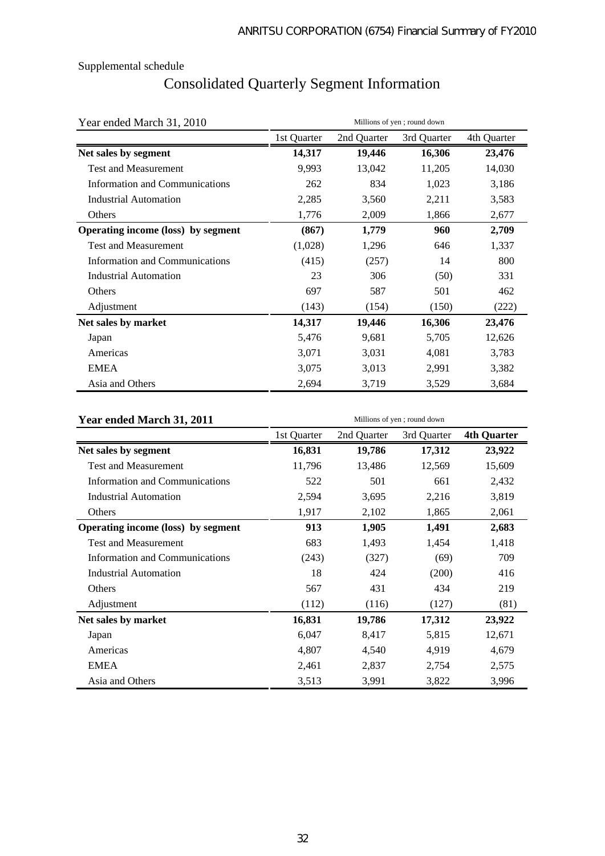# Consolidated Quarterly Segment Information

| Year ended March 31, 2010          | Millions of yen; round down |             |             |             |
|------------------------------------|-----------------------------|-------------|-------------|-------------|
|                                    | 1st Quarter                 | 2nd Quarter | 3rd Quarter | 4th Quarter |
| Net sales by segment               | 14,317                      | 19,446      | 16,306      | 23,476      |
| <b>Test and Measurement</b>        | 9,993                       | 13,042      | 11,205      | 14,030      |
| Information and Communications     | 262                         | 834         | 1,023       | 3,186       |
| <b>Industrial Automation</b>       | 2,285                       | 3,560       | 2,211       | 3,583       |
| Others                             | 1,776                       | 2,009       | 1,866       | 2,677       |
| Operating income (loss) by segment | (867)                       | 1,779       | 960         | 2,709       |
| <b>Test and Measurement</b>        | (1,028)                     | 1,296       | 646         | 1,337       |
| Information and Communications     | (415)                       | (257)       | 14          | 800         |
| <b>Industrial Automation</b>       | 23                          | 306         | (50)        | 331         |
| Others                             | 697                         | 587         | 501         | 462         |
| Adjustment                         | (143)                       | (154)       | (150)       | (222)       |
| Net sales by market                | 14,317                      | 19,446      | 16,306      | 23,476      |
| Japan                              | 5,476                       | 9,681       | 5,705       | 12,626      |
| Americas                           | 3,071                       | 3,031       | 4,081       | 3,783       |
| <b>EMEA</b>                        | 3,075                       | 3,013       | 2,991       | 3,382       |
| Asia and Others                    | 2,694                       | 3,719       | 3,529       | 3,684       |

### **Year ended March 31, 2011** Millions of yen ; round down

| ai chucu March 91, 2011               |             |             |             |                    |
|---------------------------------------|-------------|-------------|-------------|--------------------|
|                                       | 1st Quarter | 2nd Quarter | 3rd Quarter | <b>4th Quarter</b> |
| Net sales by segment                  | 16,831      | 19,786      | 17,312      | 23,922             |
| <b>Test and Measurement</b>           | 11,796      | 13,486      | 12,569      | 15,609             |
| <b>Information and Communications</b> | 522         | 501         | 661         | 2,432              |
| <b>Industrial Automation</b>          | 2,594       | 3,695       | 2,216       | 3,819              |
| Others                                | 1,917       | 2,102       | 1,865       | 2,061              |
| Operating income (loss) by segment    | 913         | 1,905       | 1,491       | 2,683              |
| <b>Test and Measurement</b>           | 683         | 1,493       | 1,454       | 1,418              |
| Information and Communications        | (243)       | (327)       | (69)        | 709                |
| <b>Industrial Automation</b>          | 18          | 424         | (200)       | 416                |
| Others                                | 567         | 431         | 434         | 219                |
| Adjustment                            | (112)       | (116)       | (127)       | (81)               |
| Net sales by market                   | 16,831      | 19,786      | 17,312      | 23,922             |
| Japan                                 | 6,047       | 8,417       | 5,815       | 12,671             |
| Americas                              | 4,807       | 4,540       | 4,919       | 4,679              |
| <b>EMEA</b>                           | 2,461       | 2,837       | 2,754       | 2,575              |
| Asia and Others                       | 3,513       | 3,991       | 3,822       | 3,996              |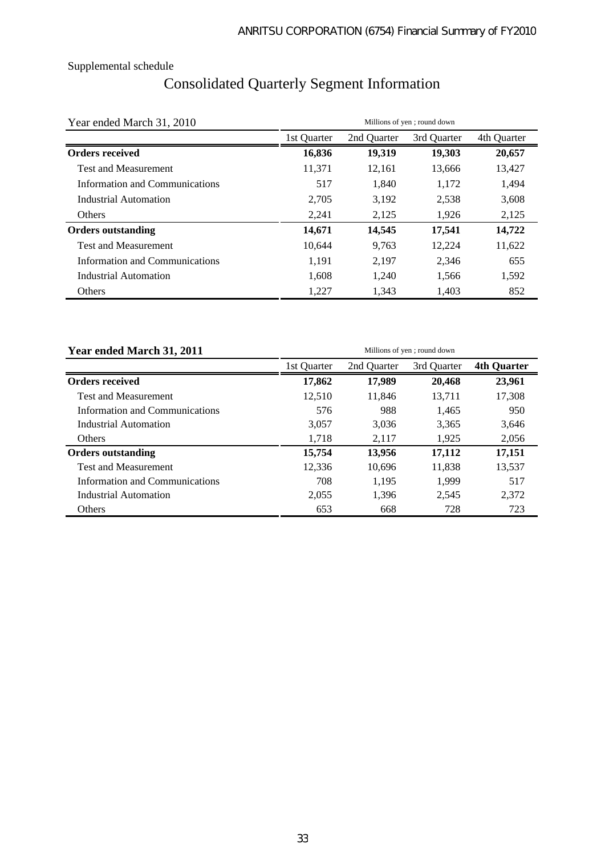# Consolidated Quarterly Segment Information

| Year ended March 31, 2010      | Millions of yen; round down |             |             |             |  |  |  |
|--------------------------------|-----------------------------|-------------|-------------|-------------|--|--|--|
|                                | 1st Quarter                 | 2nd Quarter | 3rd Quarter | 4th Quarter |  |  |  |
| <b>Orders received</b>         | 16,836                      | 19,319      | 19,303      | 20,657      |  |  |  |
| <b>Test and Measurement</b>    | 11,371                      | 12,161      | 13,666      | 13,427      |  |  |  |
| Information and Communications | 517                         | 1,840       | 1,172       | 1,494       |  |  |  |
| Industrial Automation          | 2,705                       | 3,192       | 2,538       | 3,608       |  |  |  |
| <b>Others</b>                  | 2,241                       | 2,125       | 1,926       | 2,125       |  |  |  |
| <b>Orders outstanding</b>      | 14,671                      | 14,545      | 17,541      | 14,722      |  |  |  |
| <b>Test and Measurement</b>    | 10.644                      | 9.763       | 12.224      | 11,622      |  |  |  |
| Information and Communications | 1,191                       | 2,197       | 2,346       | 655         |  |  |  |
| Industrial Automation          | 1,608                       | 1,240       | 1,566       | 1,592       |  |  |  |
| Others                         | 1,227                       | 1,343       | 1,403       | 852         |  |  |  |

| Year ended March 31, 2011      | Millions of yen; round down |             |             |                    |  |  |  |  |
|--------------------------------|-----------------------------|-------------|-------------|--------------------|--|--|--|--|
|                                | 1st Ouarter                 | 2nd Quarter | 3rd Quarter | <b>4th Quarter</b> |  |  |  |  |
| <b>Orders received</b>         | 17,862                      | 17,989      | 20,468      | 23,961             |  |  |  |  |
| <b>Test and Measurement</b>    | 12.510                      | 11.846      | 13,711      | 17,308             |  |  |  |  |
| Information and Communications | 576                         | 988         | 1.465       | 950                |  |  |  |  |
| <b>Industrial Automation</b>   | 3,057                       | 3,036       | 3,365       | 3,646              |  |  |  |  |
| <b>Others</b>                  | 1.718                       | 2,117       | 1.925       | 2,056              |  |  |  |  |
| <b>Orders outstanding</b>      | 15,754                      | 13,956      | 17,112      | 17,151             |  |  |  |  |
| <b>Test and Measurement</b>    | 12,336                      | 10,696      | 11,838      | 13,537             |  |  |  |  |
| Information and Communications | 708                         | 1.195       | 1,999       | 517                |  |  |  |  |
| Industrial Automation          | 2,055                       | 1,396       | 2,545       | 2,372              |  |  |  |  |
| Others                         | 653                         | 668         | 728         | 723                |  |  |  |  |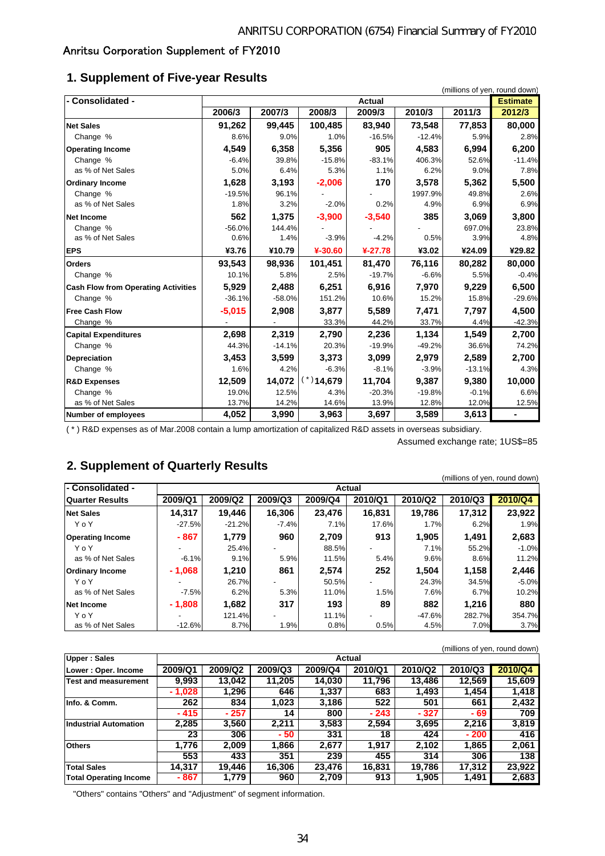## Anritsu Corporation Supplement of FY2010

## **1. Supplement of Five-year Results**

| - Consolidated -                           | <b>Actual</b> |          |              |           |          |          |          |  |
|--------------------------------------------|---------------|----------|--------------|-----------|----------|----------|----------|--|
|                                            | 2006/3        | 2007/3   | 2008/3       | 2009/3    | 2010/3   | 2011/3   | 2012/3   |  |
| <b>Net Sales</b>                           | 91,262        | 99,445   | 100,485      | 83,940    | 73,548   | 77,853   | 80,000   |  |
| Change %                                   | 8.6%          | 9.0%     | 1.0%         | $-16.5%$  | $-12.4%$ | 5.9%     | 2.8%     |  |
| <b>Operating Income</b>                    | 4,549         | 6,358    | 5,356        | 905       | 4,583    | 6,994    | 6,200    |  |
| Change %                                   | $-6.4%$       | 39.8%    | $-15.8%$     | $-83.1%$  | 406.3%   | 52.6%    | $-11.4%$ |  |
| as % of Net Sales                          | 5.0%          | 6.4%     | 5.3%         | 1.1%      | 6.2%     | 9.0%     | 7.8%     |  |
| <b>Ordinary Income</b>                     | 1,628         | 3,193    | $-2,006$     | 170       | 3,578    | 5,362    | 5,500    |  |
| Change %                                   | $-19.5%$      | 96.1%    |              |           | 1997.9%  | 49.8%    | 2.6%     |  |
| as % of Net Sales                          | 1.8%          | 3.2%     | $-2.0%$      | 0.2%      | 4.9%     | 6.9%     | 6.9%     |  |
| Net Income                                 | 562           | 1,375    | $-3,900$     | $-3,540$  | 385      | 3,069    | 3,800    |  |
| Change %                                   | $-56.0%$      | 144.4%   |              |           |          | 697.0%   | 23.8%    |  |
| as % of Net Sales                          | 0.6%          | 1.4%     | $-3.9%$      | $-4.2%$   | 0.5%     | 3.9%     | 4.8%     |  |
| <b>EPS</b>                                 | ¥3.76         | ¥10.79   | ¥-30.60      | $4-27.78$ | ¥3.02    | ¥24.09   | ¥29.82   |  |
| <b>Orders</b>                              | 93,543        | 98.936   | 101,451      | 81,470    | 76,116   | 80,282   | 80,000   |  |
| Change %                                   | 10.1%         | 5.8%     | 2.5%         | $-19.7%$  | $-6.6%$  | 5.5%     | $-0.4%$  |  |
| <b>Cash Flow from Operating Activities</b> | 5,929         | 2.488    | 6,251        | 6.916     | 7.970    | 9,229    | 6,500    |  |
| Change %                                   | $-36.1%$      | $-58.0%$ | 151.2%       | 10.6%     | 15.2%    | 15.8%    | $-29.6%$ |  |
| <b>Free Cash Flow</b>                      | $-5,015$      | 2,908    | 3,877        | 5,589     | 7,471    | 7,797    | 4,500    |  |
| Change %                                   |               |          | 33.3%        | 44.2%     | 33.7%    | 4.4%     | $-42.3%$ |  |
| <b>Capital Expenditures</b>                | 2,698         | 2,319    | 2,790        | 2,236     | 1,134    | 1,549    | 2,700    |  |
| Change %                                   | 44.3%         | $-14.1%$ | 20.3%        | $-19.9%$  | $-49.2%$ | 36.6%    | 74.2%    |  |
| <b>Depreciation</b>                        | 3,453         | 3,599    | 3,373        | 3,099     | 2,979    | 2,589    | 2,700    |  |
| Change %                                   | 1.6%          | 4.2%     | $-6.3%$      | $-8.1%$   | $-3.9%$  | $-13.1%$ | 4.3%     |  |
| <b>R&amp;D Expenses</b>                    | 12,509        | 14,072   | $(*)$ 14,679 | 11,704    | 9,387    | 9,380    | 10,000   |  |
| Change %                                   | 19.0%         | 12.5%    | 4.3%         | $-20.3%$  | $-19.8%$ | $-0.1%$  | 6.6%     |  |
| as % of Net Sales                          | 13.7%         | 14.2%    | 14.6%        | 13.9%     | 12.8%    | 12.0%    | 12.5%    |  |
| Number of employees                        | 4,052         | 3,990    | 3,963        | 3,697     | 3,589    | 3,613    |          |  |

( \* ) R&D expenses as of Mar.2008 contain a lump amortization of capitalized R&D assets in overseas subsidiary.

Assumed exchange rate; 1US\$=85

## **2. Supplement of Quarterly Results**

| . .                     |               |          |         |         |                          |          | (millions of yen, round down) |         |
|-------------------------|---------------|----------|---------|---------|--------------------------|----------|-------------------------------|---------|
| - Consolidated -        | <b>Actual</b> |          |         |         |                          |          |                               |         |
| <b>Quarter Results</b>  | 2009/Q1       | 2009/Q2  | 2009/Q3 | 2009/Q4 | 2010/Q1                  | 2010/Q2  | 2010/Q3                       | 2010/Q4 |
| <b>Net Sales</b>        | 14.317        | 19.446   | 16,306  | 23,476  | 16,831                   | 19.786   | 17,312                        | 23,922  |
| YoY                     | $-27.5%$      | $-21.2%$ | $-7.4%$ | 7.1%    | 17.6%                    | 1.7%     | 6.2%                          | 1.9%    |
| <b>Operating Income</b> | $-867$        | 1,779    | 960     | 2.709   | 913                      | 1.905    | 1,491                         | 2,683   |
| YoY                     |               | 25.4%    |         | 88.5%   |                          | 7.1%     | 55.2%                         | $-1.0%$ |
| as % of Net Sales       | $-6.1%$       | 9.1%     | 5.9%    | 11.5%   | 5.4%                     | 9.6%     | 8.6%                          | 11.2%   |
| <b>Ordinary Income</b>  | $-1,068$      | 1.210    | 861     | 2,574   | 252                      | 1,504    | 1,158                         | 2,446   |
| YoY                     |               | 26.7%    |         | 50.5%   |                          | 24.3%    | 34.5%                         | $-5.0%$ |
| as % of Net Sales       | $-7.5%$       | 6.2%     | 5.3%    | 11.0%   | 1.5%                     | 7.6%     | 6.7%                          | 10.2%   |
| <b>Net Income</b>       | $-1,808$      | 1,682    | 317     | 193     | 89                       | 882      | 1.216                         | 880     |
| YoY                     |               | 121.4%   |         | 11.1%   | $\overline{\phantom{a}}$ | $-47.6%$ | 282.7%                        | 354.7%  |
| as % of Net Sales       | $-12.6%$      | 8.7%     | 1.9%    | 0.8%    | 0.5%                     | 4.5%     | 7.0%                          | 3.7%    |

|                               |          |         |         |         |         |         | (millions of yen, round down) |         |  |  |
|-------------------------------|----------|---------|---------|---------|---------|---------|-------------------------------|---------|--|--|
| <b>Upper: Sales</b>           |          | Actual  |         |         |         |         |                               |         |  |  |
| Lower: Oper. Income           | 2009/Q1  | 2009/Q2 | 2009/Q3 | 2009/Q4 | 2010/Q1 | 2010/Q2 | 2010/Q3                       | 2010/Q4 |  |  |
| Test and measurement          | 9.993    | 13.042  | 11.205  | 14.030  | 11.796  | 13.486  | 12.569                        | 15.609  |  |  |
|                               | $-1,028$ | 1,296   | 646     | 1,337   | 683     | 1,493   | 1,454                         | 1,418   |  |  |
| Info. & Comm.                 | 262      | 834     | 1,023   | 3.186   | 522     | 501     | 661                           | 2.432   |  |  |
|                               | $-415$   | $-257$  | 14      | 800     | $-243$  | $-327$  | - 69                          | 709     |  |  |
| Industrial Automation         | 2,285    | 3,560   | 2,211   | 3,583   | 2,594   | 3,695   | 2.216                         | 3,819   |  |  |
|                               | 23       | 306     | - 50    | 331     | 18      | 424     | $-200$                        | 416     |  |  |
| <b>Others</b>                 | 1.776    | 2,009   | 1,866   | 2,677   | 1,917   | 2,102   | 1,865                         | 2.061   |  |  |
|                               | 553      | 433     | 351     | 239     | 455     | 314     | 306                           | 138     |  |  |
| <b>Total Sales</b>            | 14.317   | 19.446  | 16.306  | 23.476  | 16.831  | 19.786  | 17,312                        | 23.922  |  |  |
| <b>Total Operating Income</b> | - 867    | 1.779   | 960     | 2,709   | 913     | 1,905   | 1,491                         | 2,683   |  |  |

"Others" contains "Others" and "Adjustment" of segment information.